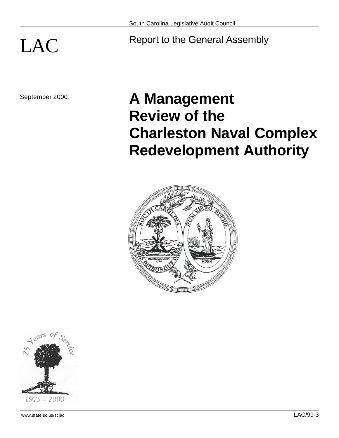# LAC Report to the General Assembly

# September 2000 **A Management Review of the Charleston Naval Complex Redevelopment Authority**



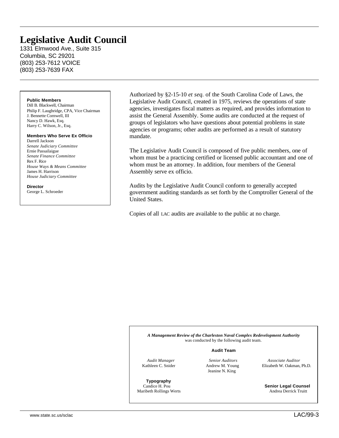## **Legislative Audit Council**

1331 Elmwood Ave., Suite 315 Columbia, SC 29201 (803) 253-7612 VOICE (803) 253-7639 FAX

### **Public Members**

Dill B. Blackwell, Chairman Philip F. Laughridge, CPA, Vice Chairman J. Bennette Cornwell, III Nancy D. Hawk, Esq. Harry C. Wilson, Jr., Esq.

### **Members Who Serve Ex Officio**

Darrell Jackson *Senate Judiciary Committee* Ernie Passailaigue *Senate Finance Committee* Rex F. Rice *House Ways & Means Committee* James H. Harrison *House Judiciary Committee*

**Director** George L. Schroeder

Authorized by §2-15-10 *et seq.* of the South Carolina Code of Laws, the Legislative Audit Council, created in 1975, reviews the operations of state agencies, investigates fiscal matters as required, and provides information to assist the General Assembly. Some audits are conducted at the request of groups of legislators who have questions about potential problems in state agencies or programs; other audits are performed as a result of statutory mandate.

The Legislative Audit Council is composed of five public members, one of whom must be a practicing certified or licensed public accountant and one of whom must be an attorney. In addition, four members of the General Assembly serve ex officio.

Audits by the Legislative Audit Council conform to generally accepted government auditing standards as set forth by the Comptroller General of the United States.

Copies of all LAC audits are available to the public at no charge.

*A Management Review of the Charleston Naval Complex Redevelopment Authority* was conducted by the following audit team.

### **Audit Team**

**Typography**<br>Candice **H** Pou

Jeanine N. King

 *Audit Manager Senior Auditors Associate Auditor* **Kathleen C. Snider Andrew M. Young Elizabeth W. Oakman, Ph.D.** 

**Senior Legal Counsel** Maribeth Rollings Werts **Andrea Derrick Truitt**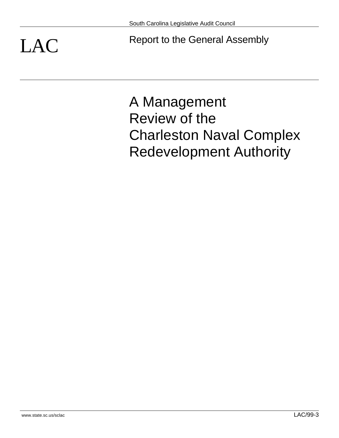LAC Report to the General Assembly

A Management Review of the Charleston Naval Complex Redevelopment Authority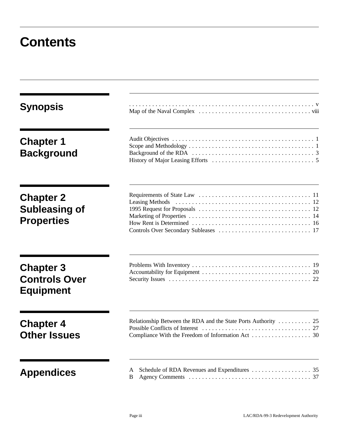## **Contents**

| <b>Synopsis</b>                                              |                                                                |
|--------------------------------------------------------------|----------------------------------------------------------------|
| <b>Chapter 1</b><br><b>Background</b>                        |                                                                |
| <b>Chapter 2</b><br>Subleasing of<br><b>Properties</b>       |                                                                |
| <b>Chapter 3</b><br><b>Controls Over</b><br><b>Equipment</b> |                                                                |
| <b>Chapter 4</b><br><b>Other Issues</b>                      | Relationship Between the RDA and the State Ports Authority  25 |
| <b>Appendices</b>                                            | A<br>B                                                         |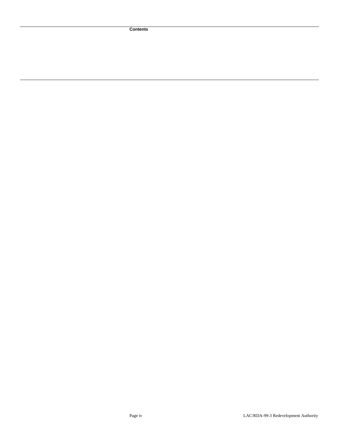**Contents**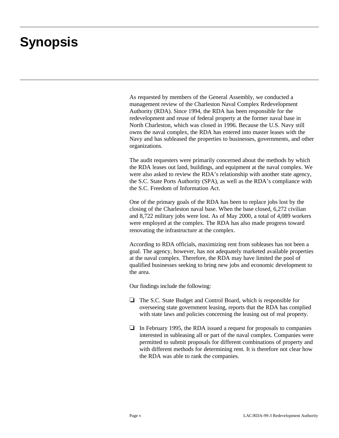## **Synopsis**

As requested by members of the General Assembly, we conducted a management review of the Charleston Naval Complex Redevelopment Authority (RDA). Since 1994, the RDA has been responsible for the redevelopment and reuse of federal property at the former naval base in North Charleston, which was closed in 1996. Because the U.S. Navy still owns the naval complex, the RDA has entered into master leases with the Navy and has subleased the properties to businesses, governments, and other organizations.

The audit requesters were primarily concerned about the methods by which the RDA leases out land, buildings, and equipment at the naval complex. We were also asked to review the RDA's relationship with another state agency, the S.C. State Ports Authority (SPA), as well as the RDA's compliance with the S.C. Freedom of Information Act.

One of the primary goals of the RDA has been to replace jobs lost by the closing of the Charleston naval base. When the base closed, 6,272 civilian and 8,722 military jobs were lost. As of May 2000, a total of 4,089 workers were employed at the complex. The RDA has also made progress toward renovating the infrastructure at the complex.

According to RDA officials, maximizing rent from subleases has not been a goal. The agency, however, has not adequately marketed available properties at the naval complex. Therefore, the RDA may have limited the pool of qualified businesses seeking to bring new jobs and economic development to the area.

Our findings include the following:

- $\Box$  The S.C. State Budget and Control Board, which is responsible for overseeing state government leasing, reports that the RDA has complied with state laws and policies concerning the leasing out of real property.
- $\Box$  In February 1995, the RDA issued a request for proposals to companies interested in subleasing all or part of the naval complex. Companies were permitted to submit proposals for different combinations of property and with different methods for determining rent. It is therefore not clear how the RDA was able to rank the companies.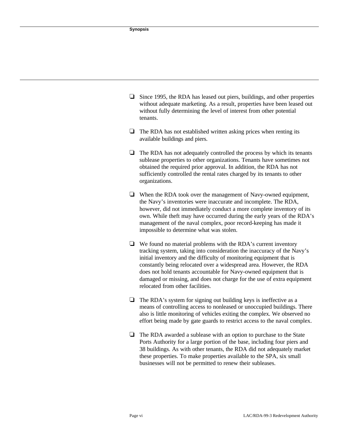- $\Box$  Since 1995, the RDA has leased out piers, buildings, and other properties without adequate marketing. As a result, properties have been leased out without fully determining the level of interest from other potential tenants.
- $\Box$  The RDA has not established written asking prices when renting its available buildings and piers.
- $\Box$  The RDA has not adequately controlled the process by which its tenants sublease properties to other organizations. Tenants have sometimes not obtained the required prior approval. In addition, the RDA has not sufficiently controlled the rental rates charged by its tenants to other organizations.
- $\Box$  When the RDA took over the management of Navy-owned equipment, the Navy's inventories were inaccurate and incomplete. The RDA, however, did not immediately conduct a more complete inventory of its own. While theft may have occurred during the early years of the RDA's management of the naval complex, poor record-keeping has made it impossible to determine what was stolen.
- $\Box$  We found no material problems with the RDA's current inventory tracking system, taking into consideration the inaccuracy of the Navy's initial inventory and the difficulty of monitoring equipment that is constantly being relocated over a widespread area. However, the RDA does not hold tenants accountable for Navy-owned equipment that is damaged or missing, and does not charge for the use of extra equipment relocated from other facilities.
- $\Box$  The RDA's system for signing out building keys is ineffective as a means of controlling access to nonleased or unoccupied buildings. There also is little monitoring of vehicles exiting the complex. We observed no effort being made by gate guards to restrict access to the naval complex.
- $\Box$  The RDA awarded a sublease with an option to purchase to the State Ports Authority for a large portion of the base, including four piers and 38 buildings. As with other tenants, the RDA did not adequately market these properties. To make properties available to the SPA, six small businesses will not be permitted to renew their subleases.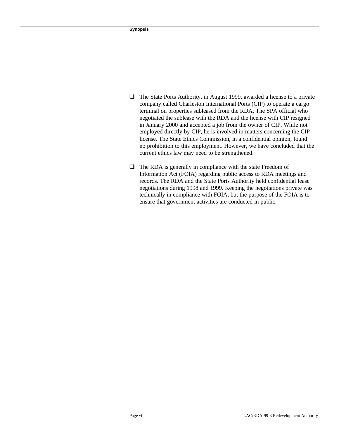- $\Box$  The State Ports Authority, in August 1999, awarded a license to a private company called Charleston International Ports (CIP) to operate a cargo terminal on properties subleased from the RDA. The SPA official who negotiated the sublease with the RDA and the license with CIP resigned in January 2000 and accepted a job from the owner of CIP. While not employed directly by CIP, he is involved in matters concerning the CIP license. The State Ethics Commission, in a confidential opinion, found no prohibition to this employment. However, we have concluded that the current ethics law may need to be strengthened.
- $\Box$  The RDA is generally in compliance with the state Freedom of Information Act (FOIA) regarding public access to RDA meetings and records. The RDA and the State Ports Authority held confidential lease negotiations during 1998 and 1999. Keeping the negotiations private was technically in compliance with FOIA, but the purpose of the FOIA is to ensure that government activities are conducted in public.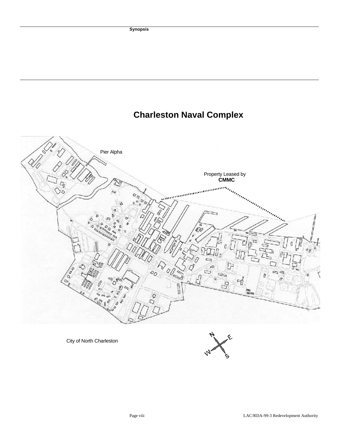## **Charleston Naval Complex**

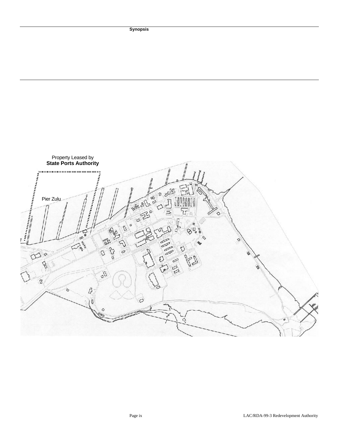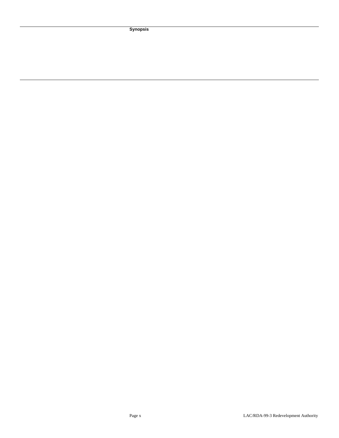**Synopsis**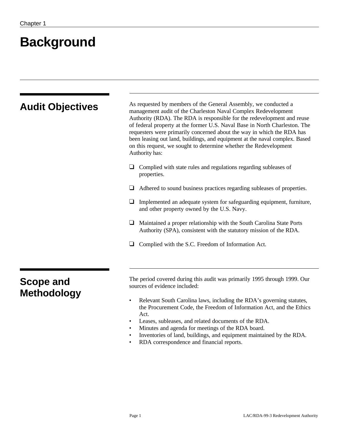## **Background**

| <b>Audit Objectives</b> | As requested by members of the General Assembly, we conducted a<br>management audit of the Charleston Naval Complex Redevelopment<br>Authority (RDA). The RDA is responsible for the redevelopment and reuse<br>of federal property at the former U.S. Naval Base in North Charleston. The<br>requesters were primarily concerned about the way in which the RDA has<br>been leasing out land, buildings, and equipment at the naval complex. Based<br>on this request, we sought to determine whether the Redevelopment<br>Authority has: |
|-------------------------|--------------------------------------------------------------------------------------------------------------------------------------------------------------------------------------------------------------------------------------------------------------------------------------------------------------------------------------------------------------------------------------------------------------------------------------------------------------------------------------------------------------------------------------------|
|                         | Complied with state rules and regulations regarding subleases of<br>properties.                                                                                                                                                                                                                                                                                                                                                                                                                                                            |
|                         | Adhered to sound business practices regarding subleases of properties.                                                                                                                                                                                                                                                                                                                                                                                                                                                                     |
|                         | Implemented an adequate system for safeguarding equipment, furniture,<br>and other property owned by the U.S. Navy.                                                                                                                                                                                                                                                                                                                                                                                                                        |
|                         | Maintained a proper relationship with the South Carolina State Ports<br>Authority (SPA), consistent with the statutory mission of the RDA.                                                                                                                                                                                                                                                                                                                                                                                                 |
|                         | Complied with the S.C. Freedom of Information Act.                                                                                                                                                                                                                                                                                                                                                                                                                                                                                         |
| <b>Scope and</b>        | The period covered during this audit was primarily 1995 through 1999. Our<br>sources of evidence included:                                                                                                                                                                                                                                                                                                                                                                                                                                 |
| <b>Methodology</b>      | Relevant South Carolina laws, including the RDA's governing statutes,<br>$\bullet$<br>the Procurement Code, the Freedom of Information Act, and the Ethics<br>Act.<br>Leases, subleases, and related documents of the RDA.<br>Minutes and agenda for meetings of the RDA board.<br>Inventories of land, buildings, and equipment maintained by the RDA.                                                                                                                                                                                    |

• RDA correspondence and financial reports.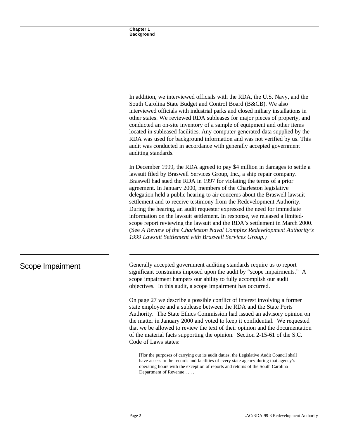In addition, we interviewed officials with the RDA, the U.S. Navy, and the South Carolina State Budget and Control Board (B&CB). We also interviewed officials with industrial parks and closed miliary installations in other states. We reviewed RDA subleases for major pieces of property, and conducted an on-site inventory of a sample of equipment and other items located in subleased facilities. Any computer-generated data supplied by the RDA was used for background information and was not verified by us. This audit was conducted in accordance with generally accepted government auditing standards.

In December 1999, the RDA agreed to pay \$4 million in damages to settle a lawsuit filed by Braswell Services Group, Inc., a ship repair company. Braswell had sued the RDA in 1997 for violating the terms of a prior agreement. In January 2000, members of the Charleston legislative delegation held a public hearing to air concerns about the Braswell lawsuit settlement and to receive testimony from the Redevelopment Authority. During the hearing, an audit requester expressed the need for immediate information on the lawsuit settlement. In response, we released a limitedscope report reviewing the lawsuit and the RDA's settlement in March 2000. (See *A Review of the Charleston Naval Complex Redevelopment Authority's 1999 Lawsuit Settlement with Braswell Services Group.)* 

Scope Impairment Generally accepted government auditing standards require us to report significant constraints imposed upon the audit by "scope impairments." A scope impairment hampers our ability to fully accomplish our audit objectives. In this audit, a scope impairment has occurred.

> On page 27 we describe a possible conflict of interest involving a former state employee and a sublease between the RDA and the State Ports Authority. The State Ethics Commission had issued an advisory opinion on the matter in January 2000 and voted to keep it confidential. We requested that we be allowed to review the text of their opinion and the documentation of the material facts supporting the opinion. Section 2-15-61 of the S.C. Code of Laws states:

[f]or the purposes of carrying out its audit duties, the Legislative Audit Council shall have access to the records and facilities of every state agency during that agency's operating hours with the exception of reports and returns of the South Carolina Department of Revenue . . . .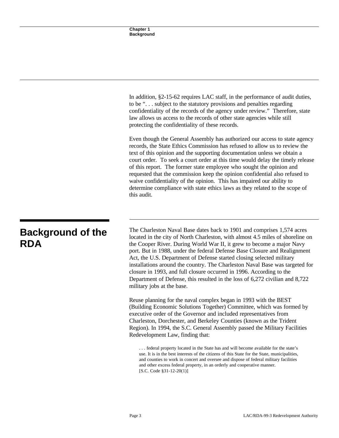In addition, §2-15-62 requires LAC staff, in the performance of audit duties, to be ". . . subject to the statutory provisions and penalties regarding confidentiality of the records of the agency under review." Therefore, state law allows us access to the records of other state agencies while still protecting the confidentiality of these records.

Even though the General Assembly has authorized our access to state agency records, the State Ethics Commission has refused to allow us to review the text of this opinion and the supporting documentation unless we obtain a court order. To seek a court order at this time would delay the timely release of this report. The former state employee who sought the opinion and requested that the commission keep the opinion confidential also refused to waive confidentiality of the opinion. This has impaired our ability to determine compliance with state ethics laws as they related to the scope of this audit.

### **Background of the RDA**

The Charleston Naval Base dates back to 1901 and comprises 1,574 acres located in the city of North Charleston, with almost 4.5 miles of shoreline on the Cooper River. During World War II, it grew to become a major Navy port. But in 1988, under the federal Defense Base Closure and Realignment Act, the U.S. Department of Defense started closing selected military installations around the country. The Charleston Naval Base was targeted for closure in 1993, and full closure occurred in 1996. According to the Department of Defense, this resulted in the loss of 6,272 civilian and 8,722 military jobs at the base.

Reuse planning for the naval complex began in 1993 with the BEST (Building Economic Solutions Together) Committee, which was formed by executive order of the Governor and included representatives from Charleston, Dorchester, and Berkeley Counties (known as the Trident Region). In 1994, the S.C. General Assembly passed the Military Facilities Redevelopment Law, finding that:

. . . federal property located in the State has and will become available for the state's use. It is in the best interests of the citizens of this State for the State, municipalities, and counties to work in concert and oversee and dispose of federal military facilities and other excess federal property, in an orderly and cooperative manner. [S.C. Code §31-12-20(1)]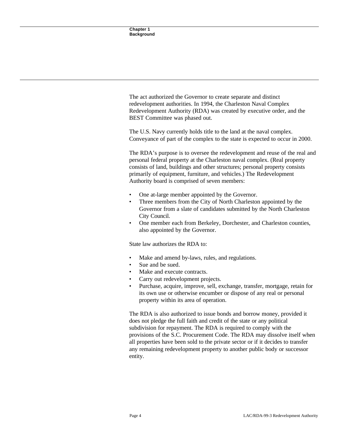The act authorized the Governor to create separate and distinct redevelopment authorities. In 1994, the Charleston Naval Complex Redevelopment Authority (RDA) was created by executive order, and the BEST Committee was phased out.

The U.S. Navy currently holds title to the land at the naval complex. Conveyance of part of the complex to the state is expected to occur in 2000.

The RDA's purpose is to oversee the redevelopment and reuse of the real and personal federal property at the Charleston naval complex. (Real property consists of land, buildings and other structures; personal property consists primarily of equipment, furniture, and vehicles.) The Redevelopment Authority board is comprised of seven members:

- One at-large member appointed by the Governor.
- Three members from the City of North Charleston appointed by the Governor from a slate of candidates submitted by the North Charleston City Council.
- One member each from Berkeley, Dorchester, and Charleston counties, also appointed by the Governor.

State law authorizes the RDA to:

- Make and amend by-laws, rules, and regulations.
- Sue and be sued.
- Make and execute contracts.
- Carry out redevelopment projects.
- Purchase, acquire, improve, sell, exchange, transfer, mortgage, retain for its own use or otherwise encumber or dispose of any real or personal property within its area of operation.

The RDA is also authorized to issue bonds and borrow money, provided it does not pledge the full faith and credit of the state or any political subdivision for repayment. The RDA is required to comply with the provisions of the S.C. Procurement Code. The RDA may dissolve itself when all properties have been sold to the private sector or if it decides to transfer any remaining redevelopment property to another public body or successor entity.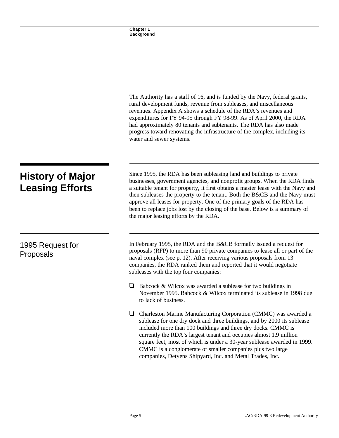|                                                   | The Authority has a staff of 16, and is funded by the Navy, federal grants,<br>rural development funds, revenue from subleases, and miscellaneous<br>revenues. Appendix A shows a schedule of the RDA's revenues and<br>expenditures for FY 94-95 through FY 98-99. As of April 2000, the RDA<br>had approximately 80 tenants and subtenants. The RDA has also made<br>progress toward renovating the infrastructure of the complex, including its<br>water and sewer systems.                                            |
|---------------------------------------------------|---------------------------------------------------------------------------------------------------------------------------------------------------------------------------------------------------------------------------------------------------------------------------------------------------------------------------------------------------------------------------------------------------------------------------------------------------------------------------------------------------------------------------|
| <b>History of Major</b><br><b>Leasing Efforts</b> | Since 1995, the RDA has been subleasing land and buildings to private<br>businesses, government agencies, and nonprofit groups. When the RDA finds<br>a suitable tenant for property, it first obtains a master lease with the Navy and<br>then subleases the property to the tenant. Both the B&CB and the Navy must<br>approve all leases for property. One of the primary goals of the RDA has<br>been to replace jobs lost by the closing of the base. Below is a summary of<br>the major leasing efforts by the RDA. |
| 1995 Request for<br>Proposals                     | In February 1995, the RDA and the B&CB formally issued a request for<br>proposals (RFP) to more than 90 private companies to lease all or part of the<br>naval complex (see p. 12). After receiving various proposals from 13<br>companies, the RDA ranked them and reported that it would negotiate<br>subleases with the top four companies:                                                                                                                                                                            |
|                                                   | Babcock & Wilcox was awarded a sublease for two buildings in<br>⊔<br>November 1995. Babcock & Wilcox terminated its sublease in 1998 due<br>to lack of business.                                                                                                                                                                                                                                                                                                                                                          |
|                                                   | Charleston Marine Manufacturing Corporation (CMMC) was awarded a<br>❏<br>sublease for one dry dock and three buildings, and by 2000 its sublease<br>included more than 100 buildings and three dry docks. CMMC is<br>currently the RDA's largest tenant and occupies almost 1.9 million<br>square feet, most of which is under a 30-year sublease awarded in 1999.<br>CMMC is a conglomerate of smaller companies plus two large<br>companies, Detyens Shipyard, Inc. and Metal Trades, Inc.                              |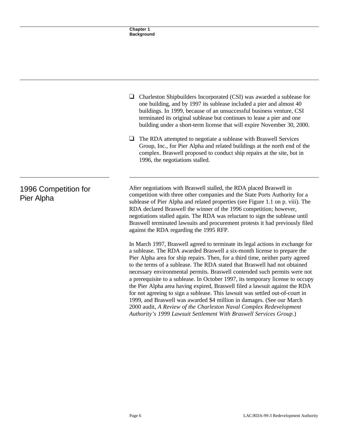|                                    | Charleston Shipbuilders Incorporated (CSI) was awarded a sublease for<br>⊔<br>one building, and by 1997 its sublease included a pier and almost 40<br>buildings. In 1999, because of an unsuccessful business venture, CSI<br>terminated its original sublease but continues to lease a pier and one<br>building under a short-term license that will expire November 30, 2000.<br>The RDA attempted to negotiate a sublease with Braswell Services<br>⊔<br>Group, Inc., for Pier Alpha and related buildings at the north end of the<br>complex. Braswell proposed to conduct ship repairs at the site, but in<br>1996, the negotiations stalled.                                                                                                                                                     |
|------------------------------------|--------------------------------------------------------------------------------------------------------------------------------------------------------------------------------------------------------------------------------------------------------------------------------------------------------------------------------------------------------------------------------------------------------------------------------------------------------------------------------------------------------------------------------------------------------------------------------------------------------------------------------------------------------------------------------------------------------------------------------------------------------------------------------------------------------|
| 1996 Competition for<br>Pier Alpha | After negotiations with Braswell stalled, the RDA placed Braswell in<br>competition with three other companies and the State Ports Authority for a<br>sublease of Pier Alpha and related properties (see Figure 1.1 on p. viii). The<br>RDA declared Braswell the winner of the 1996 competition; however,<br>negotiations stalled again. The RDA was reluctant to sign the sublease until<br>Braswell terminated lawsuits and procurement protests it had previously filed<br>against the RDA regarding the 1995 RFP.                                                                                                                                                                                                                                                                                 |
|                                    | In March 1997, Braswell agreed to terminate its legal actions in exchange for<br>a sublease. The RDA awarded Braswell a six-month license to prepare the<br>Pier Alpha area for ship repairs. Then, for a third time, neither party agreed<br>to the terms of a sublease. The RDA stated that Braswell had not obtained<br>necessary environmental permits. Braswell contended such permits were not<br>a prerequisite to a sublease. In October 1997, its temporary license to occupy<br>the Pier Alpha area having expired, Braswell filed a lawsuit against the RDA<br>for not agreeing to sign a sublease. This lawsuit was settled out-of-court in<br>1999, and Braswell was awarded \$4 million in damages. (See our March<br>2000 audit, A Review of the Charleston Naval Complex Redevelopment |

*Authority's 1999 Lawsuit Settlement With Braswell Services Group*.)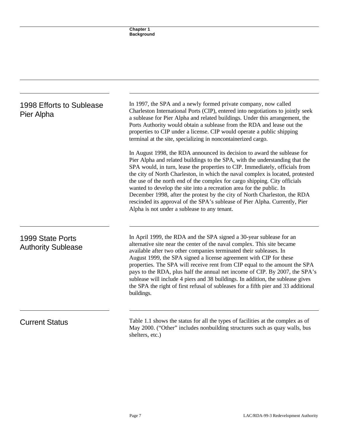| 1998 Efforts to Sublease<br>Pier Alpha        | In 1997, the SPA and a newly formed private company, now called<br>Charleston International Ports (CIP), entered into negotiations to jointly seek<br>a sublease for Pier Alpha and related buildings. Under this arrangement, the<br>Ports Authority would obtain a sublease from the RDA and lease out the<br>properties to CIP under a license. CIP would operate a public shipping<br>terminal at the site, specializing in noncontainerized cargo.                                                                                                                                                                                                                                      |
|-----------------------------------------------|----------------------------------------------------------------------------------------------------------------------------------------------------------------------------------------------------------------------------------------------------------------------------------------------------------------------------------------------------------------------------------------------------------------------------------------------------------------------------------------------------------------------------------------------------------------------------------------------------------------------------------------------------------------------------------------------|
|                                               | In August 1998, the RDA announced its decision to award the sublease for<br>Pier Alpha and related buildings to the SPA, with the understanding that the<br>SPA would, in turn, lease the properties to CIP. Immediately, officials from<br>the city of North Charleston, in which the naval complex is located, protested<br>the use of the north end of the complex for cargo shipping. City officials<br>wanted to develop the site into a recreation area for the public. In<br>December 1998, after the protest by the city of North Charleston, the RDA<br>rescinded its approval of the SPA's sublease of Pier Alpha. Currently, Pier<br>Alpha is not under a sublease to any tenant. |
| 1999 State Ports<br><b>Authority Sublease</b> | In April 1999, the RDA and the SPA signed a 30-year sublease for an<br>alternative site near the center of the naval complex. This site became<br>available after two other companies terminated their subleases. In<br>August 1999, the SPA signed a license agreement with CIP for these<br>properties. The SPA will receive rent from CIP equal to the amount the SPA<br>pays to the RDA, plus half the annual net income of CIP. By 2007, the SPA's<br>sublease will include 4 piers and 38 buildings. In addition, the sublease gives<br>the SPA the right of first refusal of subleases for a fifth pier and 33 additional<br>buildings.                                               |
| <b>Current Status</b>                         | Table 1.1 shows the status for all the types of facilities at the complex as of<br>May 2000. ("Other" includes nonbuilding structures such as quay walls, bus<br>shelters, etc.)                                                                                                                                                                                                                                                                                                                                                                                                                                                                                                             |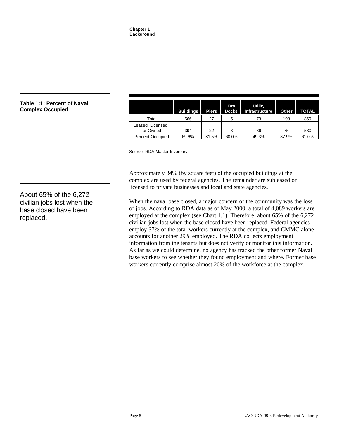| aval |                               | <b>Buildings</b> | <b>Piers</b> | Dry<br><b>Docks</b> | <b>Utility</b><br>Infrastructure | Other | <b>TOTAL</b> |
|------|-------------------------------|------------------|--------------|---------------------|----------------------------------|-------|--------------|
|      | Total                         | 566              | 27           | 5                   | 73                               | 198   | 869          |
|      | Leased, Licensed,<br>or Owned | 394              | 22           | 3                   | 36                               | 75    | 530          |
|      | <b>Percent Occupied</b>       | 69.6%            | 81.5%        | 60.0%               | 49.3%                            | 37.9% | 61.0%        |

Source: RDA Master Inventory.

Approximately 34% (by square feet) of the occupied buildings at the complex are used by federal agencies. The remainder are subleased or licensed to private businesses and local and state agencies.

When the naval base closed, a major concern of the community was the loss of jobs. According to RDA data as of May 2000, a total of 4,089 workers are employed at the complex (see Chart 1.1). Therefore, about 65% of the 6,272 civilian jobs lost when the base closed have been replaced. Federal agencies employ 37% of the total workers currently at the complex, and CMMC alone accounts for another 29% employed. The RDA collects employment information from the tenants but does not verify or monitor this information. As far as we could determine, no agency has tracked the other former Naval base workers to see whether they found employment and where. Former base workers currently comprise almost 20% of the workforce at the complex.

**Table 1:1: Percent of Na Complex Occupied** 

About 65% of the 6,272 civilian jobs lost when the base closed have been replaced.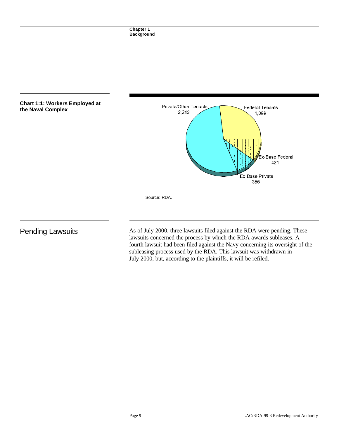

Pending Lawsuits As of July 2000, three lawsuits filed against the RDA were pending. These lawsuits concerned the process by which the RDA awards subleases. A fourth lawsuit had been filed against the Navy concerning its oversight of the subleasing process used by the RDA. This lawsuit was withdrawn in July 2000, but, according to the plaintiffs, it will be refiled.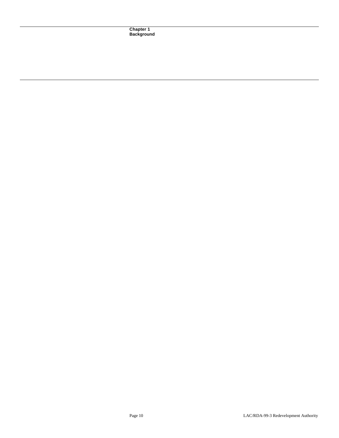**Chapter 1 Background**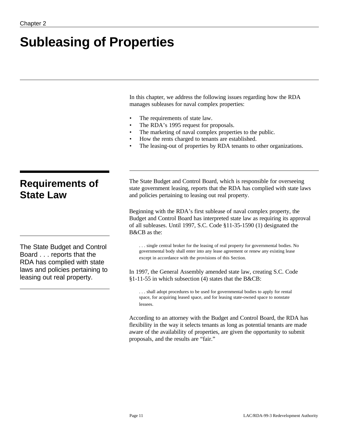# **Subleasing of Properties**

In this chapter, we address the following issues regarding how the RDA manages subleases for naval complex properties:

- The requirements of state law.
- The RDA's 1995 request for proposals.
- The marketing of naval complex properties to the public.
- How the rents charged to tenants are established.
- The leasing-out of properties by RDA tenants to other organizations.

## **Requirements of State Law**

The State Budget and Control Board . . . reports that the RDA has complied with state laws and policies pertaining to leasing out real property.

The State Budget and Control Board, which is responsible for overseeing state government leasing, reports that the RDA has complied with state laws and policies pertaining to leasing out real property.

Beginning with the RDA's first sublease of naval complex property, the Budget and Control Board has interpreted state law as requiring its approval of all subleases. Until 1997, S.C. Code §11-35-1590 (1) designated the B&CB as the:

. . . single central broker for the leasing of real property for governmental bodies. No governmental body shall enter into any lease agreement or renew any existing lease except in accordance with the provisions of this Section.

In 1997, the General Assembly amended state law, creating S.C. Code §1-11-55 in which subsection (4) states that the B&CB:

. . . shall adopt procedures to be used for governmental bodies to apply for rental space, for acquiring leased space, and for leasing state-owned space to nonstate lessees.

According to an attorney with the Budget and Control Board, the RDA has flexibility in the way it selects tenants as long as potential tenants are made aware of the availability of properties, are given the opportunity to submit proposals, and the results are "fair."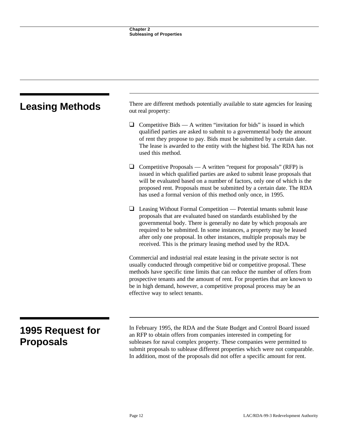| <b>Leasing Methods</b>                      | There are different methods potentially available to state agencies for leasing<br>out real property:                                                                                                                                                                                                                                                                                                                                        |  |  |  |
|---------------------------------------------|----------------------------------------------------------------------------------------------------------------------------------------------------------------------------------------------------------------------------------------------------------------------------------------------------------------------------------------------------------------------------------------------------------------------------------------------|--|--|--|
|                                             | ⊔<br>Competitive Bids $- A$ written "invitation for bids" is issued in which<br>qualified parties are asked to submit to a governmental body the amount<br>of rent they propose to pay. Bids must be submitted by a certain date.<br>The lease is awarded to the entity with the highest bid. The RDA has not<br>used this method.                                                                                                           |  |  |  |
|                                             | $\Box$<br>Competitive Proposals $- A$ written "request for proposals" (RFP) is<br>issued in which qualified parties are asked to submit lease proposals that<br>will be evaluated based on a number of factors, only one of which is the<br>proposed rent. Proposals must be submitted by a certain date. The RDA<br>has used a formal version of this method only once, in 1995.                                                            |  |  |  |
|                                             | $\Box$ Leasing Without Formal Competition — Potential tenants submit lease<br>proposals that are evaluated based on standards established by the<br>governmental body. There is generally no date by which proposals are<br>required to be submitted. In some instances, a property may be leased<br>after only one proposal. In other instances, multiple proposals may be<br>received. This is the primary leasing method used by the RDA. |  |  |  |
|                                             | Commercial and industrial real estate leasing in the private sector is not<br>usually conducted through competitive bid or competitive proposal. These<br>methods have specific time limits that can reduce the number of offers from<br>prospective tenants and the amount of rent. For properties that are known to<br>be in high demand, however, a competitive proposal process may be an<br>effective way to select tenants.            |  |  |  |
| <b>1995 Request for</b><br><b>Proposals</b> | In February 1995, the RDA and the State Budget and Control Board issued<br>an RFP to obtain offers from companies interested in competing for<br>subleases for naval complex property. These companies were permitted to<br>submit proposals to sublease different properties which were not comparable.<br>In addition, most of the proposals did not offer a specific amount for rent.                                                     |  |  |  |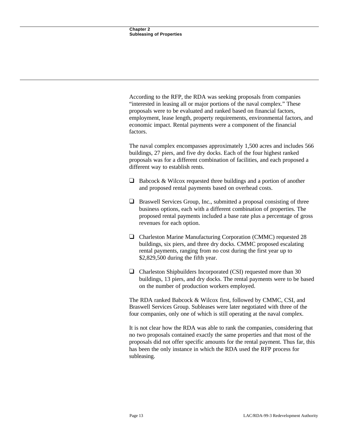According to the RFP, the RDA was seeking proposals from companies "interested in leasing all or major portions of the naval complex." These proposals were to be evaluated and ranked based on financial factors, employment, lease length, property requirements, environmental factors, and economic impact. Rental payments were a component of the financial factors.

The naval complex encompasses approximately 1,500 acres and includes 566 buildings, 27 piers, and five dry docks. Each of the four highest ranked proposals was for a different combination of facilities, and each proposed a different way to establish rents.

- $\Box$  Babcock & Wilcox requested three buildings and a portion of another and proposed rental payments based on overhead costs.
- $\Box$  Braswell Services Group, Inc., submitted a proposal consisting of three business options, each with a different combination of properties. The proposed rental payments included a base rate plus a percentage of gross revenues for each option.
- ì Charleston Marine Manufacturing Corporation (CMMC) requested 28 buildings, six piers, and three dry docks. CMMC proposed escalating rental payments, ranging from no cost during the first year up to \$2,829,500 during the fifth year.
- $\Box$  Charleston Shipbuilders Incorporated (CSI) requested more than 30 buildings, 13 piers, and dry docks. The rental payments were to be based on the number of production workers employed.

The RDA ranked Babcock & Wilcox first, followed by CMMC, CSI, and Braswell Services Group. Subleases were later negotiated with three of the four companies, only one of which is still operating at the naval complex.

It is not clear how the RDA was able to rank the companies, considering that no two proposals contained exactly the same properties and that most of the proposals did not offer specific amounts for the rental payment. Thus far, this has been the only instance in which the RDA used the RFP process for subleasing.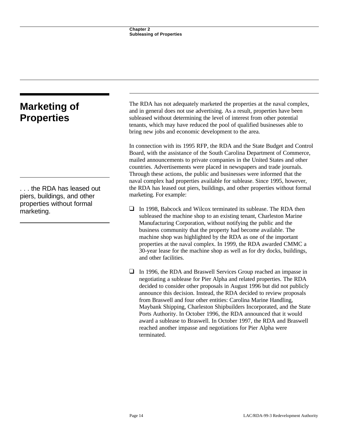| <b>Marketing of</b><br><b>Properties</b>              | The RDA has not adequately marketed the properties at the naval complex,<br>and in general does not use advertising. As a result, properties have been<br>subleased without determining the level of interest from other potential<br>tenants, which may have reduced the pool of qualified businesses able to<br>bring new jobs and economic development to the area.                                                                                                                                                                                                          |
|-------------------------------------------------------|---------------------------------------------------------------------------------------------------------------------------------------------------------------------------------------------------------------------------------------------------------------------------------------------------------------------------------------------------------------------------------------------------------------------------------------------------------------------------------------------------------------------------------------------------------------------------------|
| the RDA has leased out<br>piers, buildings, and other | In connection with its 1995 RFP, the RDA and the State Budget and Control<br>Board, with the assistance of the South Carolina Department of Commerce,<br>mailed announcements to private companies in the United States and other<br>countries. Advertisements were placed in newspapers and trade journals.<br>Through these actions, the public and businesses were informed that the<br>naval complex had properties available for sublease. Since 1995, however,<br>the RDA has leased out piers, buildings, and other properties without formal<br>marketing. For example: |
| properties without formal<br>marketing.               | In 1998, Babcock and Wilcox terminated its sublease. The RDA then<br>⊔<br>subleased the machine shop to an existing tenant, Charleston Marine<br>Manufacturing Corporation, without notifying the public and the<br>business community that the property had become available. The<br>machine shop was highlighted by the RDA as one of the important<br>properties at the naval complex. In 1999, the RDA awarded CMMC a<br>30-year lease for the machine shop as well as for dry docks, buildings,<br>and other facilities.                                                   |
|                                                       | In 1996, the RDA and Braswell Services Group reached an impasse in<br>pogotiating a sublease for Diar Alpha and related properties. The DDA                                                                                                                                                                                                                                                                                                                                                                                                                                     |

negotiating a sublease for Pier Alpha and related properties. The RDA decided to consider other proposals in August 1996 but did not publicly announce this decision. Instead, the RDA decided to review proposals from Braswell and four other entities: Carolina Marine Handling, Maybank Shipping, Charleston Shipbuilders Incorporated, and the State Ports Authority. In October 1996, the RDA announced that it would award a sublease to Braswell. In October 1997, the RDA and Braswell reached another impasse and negotiations for Pier Alpha were terminated.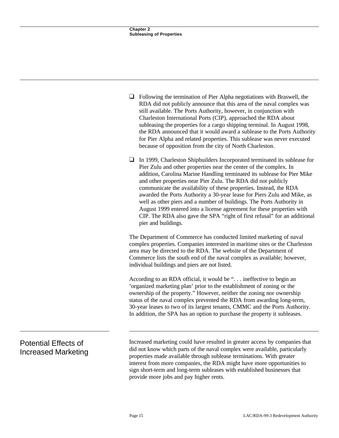|                                                           | $\Box$ Following the termination of Pier Alpha negotiations with Braswell, the<br>RDA did not publicly announce that this area of the naval complex was<br>still available. The Ports Authority, however, in conjunction with<br>Charleston International Ports (CIP), approached the RDA about<br>subleasing the properties for a cargo shipping terminal. In August 1998,<br>the RDA announced that it would award a sublease to the Ports Authority<br>for Pier Alpha and related properties. This sublease was never executed<br>because of opposition from the city of North Charleston.                                                                                                       |
|-----------------------------------------------------------|-----------------------------------------------------------------------------------------------------------------------------------------------------------------------------------------------------------------------------------------------------------------------------------------------------------------------------------------------------------------------------------------------------------------------------------------------------------------------------------------------------------------------------------------------------------------------------------------------------------------------------------------------------------------------------------------------------|
|                                                           | In 1999, Charleston Shipbuilders Incorporated terminated its sublease for<br>Pier Zulu and other properties near the center of the complex. In<br>addition, Carolina Marine Handling terminated its sublease for Pier Mike<br>and other properties near Pier Zulu. The RDA did not publicly<br>communicate the availability of these properties. Instead, the RDA<br>awarded the Ports Authority a 30-year lease for Piers Zulu and Mike, as<br>well as other piers and a number of buildings. The Ports Authority in<br>August 1999 entered into a license agreement for these properties with<br>CIP. The RDA also gave the SPA "right of first refusal" for an additional<br>pier and buildings. |
|                                                           | The Department of Commerce has conducted limited marketing of naval<br>complex properties. Companies interested in maritime sites or the Charleston<br>area may be directed to the RDA. The website of the Department of<br>Commerce lists the south end of the naval complex as available; however,<br>individual buildings and piers are not listed.                                                                                                                                                                                                                                                                                                                                              |
|                                                           | According to an RDA official, it would be ". ineffective to begin an<br>'organized marketing plan' prior to the establishment of zoning or the<br>ownership of the property." However, neither the zoning nor ownership<br>status of the naval complex prevented the RDA from awarding long-term,<br>30-year leases to two of its largest tenants, CMMC and the Ports Authority.<br>In addition, the SPA has an option to purchase the property it subleases.                                                                                                                                                                                                                                       |
| <b>Potential Effects of</b><br><b>Increased Marketing</b> | Increased marketing could have resulted in greater access by companies that<br>did not know which parts of the naval complex were available, particularly<br>properties made available through sublease terminations. With greater<br>interest from more companies, the RDA might have more opportunities to<br>sign short-term and long-term subleases with established businesses that                                                                                                                                                                                                                                                                                                            |

provide more jobs and pay higher rents.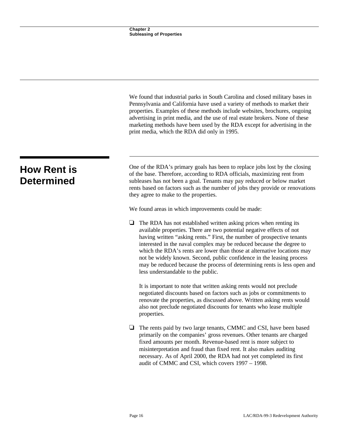|                                         | We found that industrial parks in South Carolina and closed military bases in<br>Pennsylvania and California have used a variety of methods to market their<br>properties. Examples of these methods include websites, brochures, ongoing<br>advertising in print media, and the use of real estate brokers. None of these<br>marketing methods have been used by the RDA except for advertising in the<br>print media, which the RDA did only in 1995.                                                                                                                   |
|-----------------------------------------|---------------------------------------------------------------------------------------------------------------------------------------------------------------------------------------------------------------------------------------------------------------------------------------------------------------------------------------------------------------------------------------------------------------------------------------------------------------------------------------------------------------------------------------------------------------------------|
| <b>How Rent is</b><br><b>Determined</b> | One of the RDA's primary goals has been to replace jobs lost by the closing<br>of the base. Therefore, according to RDA officials, maximizing rent from<br>subleases has not been a goal. Tenants may pay reduced or below market<br>rents based on factors such as the number of jobs they provide or renovations<br>they agree to make to the properties.                                                                                                                                                                                                               |
|                                         | We found areas in which improvements could be made:                                                                                                                                                                                                                                                                                                                                                                                                                                                                                                                       |
|                                         | The RDA has not established written asking prices when renting its<br>⊔<br>available properties. There are two potential negative effects of not<br>having written "asking rents." First, the number of prospective tenants<br>interested in the naval complex may be reduced because the degree to<br>which the RDA's rents are lower than those at alternative locations may<br>not be widely known. Second, public confidence in the leasing process<br>may be reduced because the process of determining rents is less open and<br>less understandable to the public. |
|                                         | It is important to note that written asking rents would not preclude<br>negotiated discounts based on factors such as jobs or commitments to<br>renovate the properties, as discussed above. Written asking rents would<br>also not preclude negotiated discounts for tenants who lease multiple<br>properties.                                                                                                                                                                                                                                                           |
|                                         | ⊔<br>The rents paid by two large tenants, CMMC and CSI, have been based<br>primarily on the companies' gross revenues. Other tenants are charged<br>fixed amounts per month. Revenue-based rent is more subject to<br>misinterpretation and fraud than fixed rent. It also makes auditing<br>necessary. As of April 2000, the RDA had not yet completed its first<br>audit of CMMC and CSI, which covers 1997 - 1998.                                                                                                                                                     |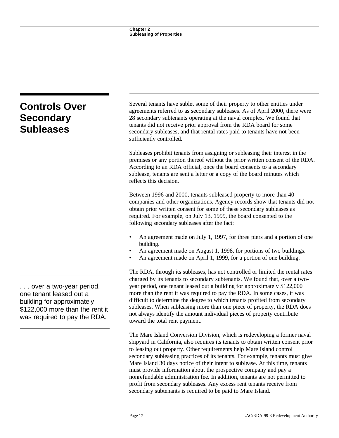| <b>Controls Over</b><br><b>Secondary</b><br><b>Subleases</b>                                                                                        | Several tenants have sublet some of their property to other entities under<br>agreements referred to as secondary subleases. As of April 2000, there were<br>28 secondary subtenants operating at the naval complex. We found that<br>tenants did not receive prior approval from the RDA board for some<br>secondary subleases, and that rental rates paid to tenants have not been<br>sufficiently controlled.                                                                                                                                                                                                                                                                                    |
|-----------------------------------------------------------------------------------------------------------------------------------------------------|-----------------------------------------------------------------------------------------------------------------------------------------------------------------------------------------------------------------------------------------------------------------------------------------------------------------------------------------------------------------------------------------------------------------------------------------------------------------------------------------------------------------------------------------------------------------------------------------------------------------------------------------------------------------------------------------------------|
|                                                                                                                                                     | Subleases prohibit tenants from assigning or subleasing their interest in the<br>premises or any portion thereof without the prior written consent of the RDA.<br>According to an RDA official, once the board consents to a secondary<br>sublease, tenants are sent a letter or a copy of the board minutes which<br>reflects this decision.                                                                                                                                                                                                                                                                                                                                                       |
|                                                                                                                                                     | Between 1996 and 2000, tenants subleased property to more than 40<br>companies and other organizations. Agency records show that tenants did not<br>obtain prior written consent for some of these secondary subleases as<br>required. For example, on July 13, 1999, the board consented to the<br>following secondary subleases after the fact:                                                                                                                                                                                                                                                                                                                                                   |
|                                                                                                                                                     | An agreement made on July 1, 1997, for three piers and a portion of one<br>building.<br>An agreement made on August 1, 1998, for portions of two buildings.<br>An agreement made on April 1, 1999, for a portion of one building.                                                                                                                                                                                                                                                                                                                                                                                                                                                                   |
| over a two-year period,<br>one tenant leased out a<br>building for approximately<br>\$122,000 more than the rent it<br>was required to pay the RDA. | The RDA, through its subleases, has not controlled or limited the rental rates<br>charged by its tenants to secondary subtenants. We found that, over a two-<br>year period, one tenant leased out a building for approximately \$122,000<br>more than the rent it was required to pay the RDA. In some cases, it was<br>difficult to determine the degree to which tenants profited from secondary<br>subleases. When subleasing more than one piece of property, the RDA does<br>not always identify the amount individual pieces of property contribute<br>toward the total rent payment.                                                                                                        |
|                                                                                                                                                     | The Mare Island Conversion Division, which is redeveloping a former naval<br>shipyard in California, also requires its tenants to obtain written consent prior<br>to leasing out property. Other requirements help Mare Island control<br>secondary subleasing practices of its tenants. For example, tenants must give<br>Mare Island 30 days notice of their intent to sublease. At this time, tenants<br>must provide information about the prospective company and pay a<br>nonrefundable administration fee. In addition, tenants are not permitted to<br>profit from secondary subleases. Any excess rent tenants receive from<br>secondary subtenants is required to be paid to Mare Island. |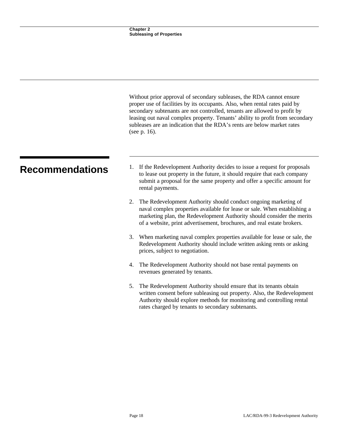|                        | Without prior approval of secondary subleases, the RDA cannot ensure<br>proper use of facilities by its occupants. Also, when rental rates paid by<br>secondary subtenants are not controlled, tenants are allowed to profit by<br>leasing out naval complex property. Tenants' ability to profit from secondary<br>subleases are an indication that the RDA's rents are below market rates<br>(see p. 16). |
|------------------------|-------------------------------------------------------------------------------------------------------------------------------------------------------------------------------------------------------------------------------------------------------------------------------------------------------------------------------------------------------------------------------------------------------------|
| <b>Recommendations</b> | If the Redevelopment Authority decides to issue a request for proposals<br>1.<br>to lease out property in the future, it should require that each company<br>submit a proposal for the same property and offer a specific amount for<br>rental payments.                                                                                                                                                    |
|                        | 2. The Redevelopment Authority should conduct ongoing marketing of<br>naval complex properties available for lease or sale. When establishing a<br>marketing plan, the Redevelopment Authority should consider the merits<br>of a website, print advertisement, brochures, and real estate brokers.                                                                                                         |
|                        | When marketing naval complex properties available for lease or sale, the<br>3.<br>Redevelopment Authority should include written asking rents or asking<br>prices, subject to negotiation.                                                                                                                                                                                                                  |
|                        | 4. The Redevelopment Authority should not base rental payments on<br>revenues generated by tenants.                                                                                                                                                                                                                                                                                                         |
|                        | The Redevelopment Authority should ensure that its tenants obtain<br>5.<br>written consent before subleasing out property. Also, the Redevelopment                                                                                                                                                                                                                                                          |

### written consent before subleasing out property. Also, the Redevelopment Authority should explore methods for monitoring and controlling rental rates charged by tenants to secondary subtenants.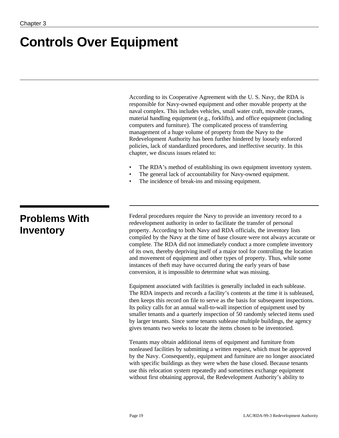## **Controls Over Equipment**

According to its Cooperative Agreement with the U. S. Navy, the RDA is responsible for Navy-owned equipment and other movable property at the naval complex. This includes vehicles, small water craft, movable cranes, material handling equipment (e.g., forklifts), and office equipment (including computers and furniture). The complicated process of transferring management of a huge volume of property from the Navy to the Redevelopment Authority has been further hindered by loosely enforced policies, lack of standardized procedures, and ineffective security. In this chapter, we discuss issues related to:

- The RDA's method of establishing its own equipment inventory system.
- The general lack of accountability for Navy-owned equipment.
- The incidence of break-ins and missing equipment.

### **Problems With Inventory**

Federal procedures require the Navy to provide an inventory record to a redevelopment authority in order to facilitate the transfer of personal property. According to both Navy and RDA officials, the inventory lists compiled by the Navy at the time of base closure were not always accurate or complete. The RDA did not immediately conduct a more complete inventory of its own, thereby depriving itself of a major tool for controlling the location and movement of equipment and other types of property. Thus, while some instances of theft may have occurred during the early years of base conversion, it is impossible to determine what was missing.

Equipment associated with facilities is generally included in each sublease. The RDA inspects and records a facility's contents at the time it is subleased, then keeps this record on file to serve as the basis for subsequent inspections. Its policy calls for an annual wall-to-wall inspection of equipment used by smaller tenants and a quarterly inspection of 50 randomly selected items used by larger tenants. Since some tenants sublease multiple buildings, the agency gives tenants two weeks to locate the items chosen to be inventoried.

Tenants may obtain additional items of equipment and furniture from nonleased facilities by submitting a written request, which must be approved by the Navy. Consequently, equipment and furniture are no longer associated with specific buildings as they were when the base closed. Because tenants use this relocation system repeatedly and sometimes exchange equipment without first obtaining approval, the Redevelopment Authority's ability to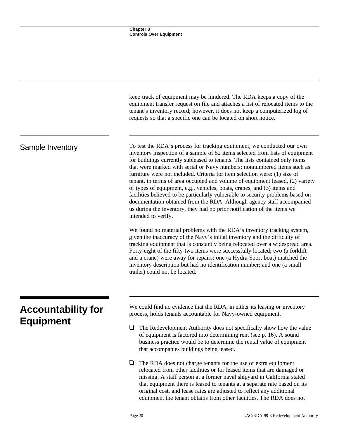|                                               | keep track of equipment may be hindered. The RDA keeps a copy of the<br>equipment transfer request on file and attaches a list of relocated items to the<br>tenant's inventory record; however, it does not keep a computerized log of<br>requests so that a specific one can be located on short notice.                                                                                                                                                                                                                                                                                                                                                                                                                                                                                                                   |
|-----------------------------------------------|-----------------------------------------------------------------------------------------------------------------------------------------------------------------------------------------------------------------------------------------------------------------------------------------------------------------------------------------------------------------------------------------------------------------------------------------------------------------------------------------------------------------------------------------------------------------------------------------------------------------------------------------------------------------------------------------------------------------------------------------------------------------------------------------------------------------------------|
| Sample Inventory                              | To test the RDA's process for tracking equipment, we conducted our own<br>inventory inspection of a sample of 52 items selected from lists of equipment<br>for buildings currently subleased to tenants. The lists contained only items<br>that were marked with serial or Navy numbers; nonnumbered items such as<br>furniture were not included. Criteria for item selection were: (1) size of<br>tenant, in terms of area occupied and volume of equipment leased, (2) variety<br>of types of equipment, e.g., vehicles, boats, cranes, and (3) items and<br>facilities believed to be particularly vulnerable to security problems based on<br>documentation obtained from the RDA. Although agency staff accompanied<br>us during the inventory, they had no prior notification of the items we<br>intended to verify. |
|                                               | We found no material problems with the RDA's inventory tracking system,<br>given the inaccuracy of the Navy's initial inventory and the difficulty of<br>tracking equipment that is constantly being relocated over a widespread area.<br>Forty-eight of the fifty-two items were successfully located; two (a forklift<br>and a crane) were away for repairs; one (a Hydra Sport boat) matched the<br>inventory description but had no identification number; and one (a small<br>trailer) could not be located.                                                                                                                                                                                                                                                                                                           |
| <b>Accountability for</b><br><b>Equipment</b> | We could find no evidence that the RDA, in either its leasing or inventory<br>process, holds tenants accountable for Navy-owned equipment.                                                                                                                                                                                                                                                                                                                                                                                                                                                                                                                                                                                                                                                                                  |
|                                               | ❏<br>The Redevelopment Authority does not specifically show how the value<br>of equipment is factored into determining rent (see p. 16). A sound<br>business practice would be to determine the rental value of equipment<br>that accompanies buildings being leased.                                                                                                                                                                                                                                                                                                                                                                                                                                                                                                                                                       |
|                                               | $\Box$<br>The RDA does not charge tenants for the use of extra equipment<br>relocated from other facilities or for leased items that are damaged or<br>missing. A staff person at a former naval shipyard in California stated<br>that equipment there is leased to tenants at a separate rate based on its<br>original cost, and lease rates are adjusted to reflect any additional<br>equipment the tenant obtains from other facilities. The RDA does not                                                                                                                                                                                                                                                                                                                                                                |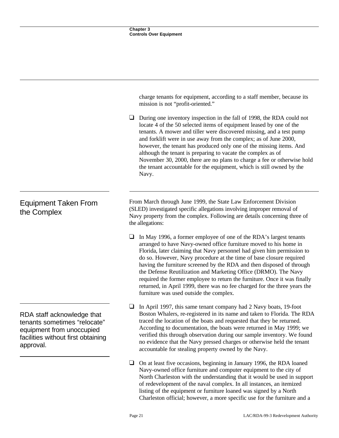|                                                                                                                                            | charge tenants for equipment, according to a staff member, because its<br>mission is not "profit-oriented."<br>⊔<br>During one inventory inspection in the fall of 1998, the RDA could not<br>locate 4 of the 50 selected items of equipment leased by one of the<br>tenants. A mower and tiller were discovered missing, and a test pump<br>and forklift were in use away from the complex; as of June 2000,<br>however, the tenant has produced only one of the missing items. And<br>although the tenant is preparing to vacate the complex as of<br>November 30, 2000, there are no plans to charge a fee or otherwise hold<br>the tenant accountable for the equipment, which is still owned by the<br>Navy. |
|--------------------------------------------------------------------------------------------------------------------------------------------|-------------------------------------------------------------------------------------------------------------------------------------------------------------------------------------------------------------------------------------------------------------------------------------------------------------------------------------------------------------------------------------------------------------------------------------------------------------------------------------------------------------------------------------------------------------------------------------------------------------------------------------------------------------------------------------------------------------------|
| <b>Equipment Taken From</b><br>the Complex                                                                                                 | From March through June 1999, the State Law Enforcement Division<br>(SLED) investigated specific allegations involving improper removal of<br>Navy property from the complex. Following are details concerning three of<br>the allegations:<br>❏<br>In May 1996, a former employee of one of the RDA's largest tenants<br>arranged to have Navy-owned office furniture moved to his home in                                                                                                                                                                                                                                                                                                                       |
|                                                                                                                                            | Florida, later claiming that Navy personnel had given him permission to<br>do so. However, Navy procedure at the time of base closure required<br>having the furniture screened by the RDA and then disposed of through<br>the Defense Reutilization and Marketing Office (DRMO). The Navy<br>required the former employee to return the furniture. Once it was finally<br>returned, in April 1999, there was no fee charged for the three years the<br>furniture was used outside the complex.                                                                                                                                                                                                                   |
| RDA staff acknowledge that<br>tenants sometimes "relocate"<br>equipment from unoccupied<br>facilities without first obtaining<br>approval. | In April 1997, this same tenant company had 2 Navy boats, 19-foot<br>⊔<br>Boston Whalers, re-registered in its name and taken to Florida. The RDA<br>traced the location of the boats and requested that they be returned.<br>According to documentation, the boats were returned in May 1999; we<br>verified this through observation during our sample inventory. We found<br>no evidence that the Navy pressed charges or otherwise held the tenant<br>accountable for stealing property owned by the Navy.                                                                                                                                                                                                    |
|                                                                                                                                            | On at least five occasions, beginning in January 1996, the RDA loaned<br>u<br>Navy-owned office furniture and computer equipment to the city of<br>North Charleston with the understanding that it would be used in support                                                                                                                                                                                                                                                                                                                                                                                                                                                                                       |

of redevelopment of the naval complex. In all instances, an itemized listing of the equipment or furniture loaned was signed by a North Charleston official; however, a more specific use for the furniture and a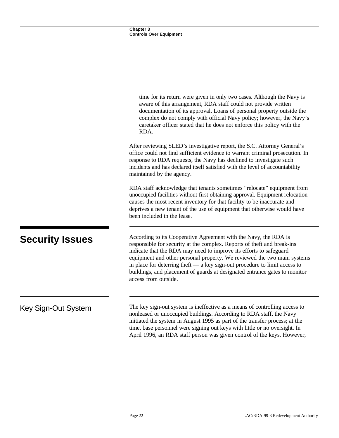|                        | time for its return were given in only two cases. Although the Navy is<br>aware of this arrangement, RDA staff could not provide written<br>documentation of its approval. Loans of personal property outside the<br>complex do not comply with official Navy policy; however, the Navy's<br>caretaker officer stated that he does not enforce this policy with the<br>RDA.                                                                                                         |
|------------------------|-------------------------------------------------------------------------------------------------------------------------------------------------------------------------------------------------------------------------------------------------------------------------------------------------------------------------------------------------------------------------------------------------------------------------------------------------------------------------------------|
|                        | After reviewing SLED's investigative report, the S.C. Attorney General's<br>office could not find sufficient evidence to warrant criminal prosecution. In<br>response to RDA requests, the Navy has declined to investigate such<br>incidents and has declared itself satisfied with the level of accountability<br>maintained by the agency.                                                                                                                                       |
|                        | RDA staff acknowledge that tenants sometimes "relocate" equipment from<br>unoccupied facilities without first obtaining approval. Equipment relocation<br>causes the most recent inventory for that facility to be inaccurate and<br>deprives a new tenant of the use of equipment that otherwise would have<br>been included in the lease.                                                                                                                                         |
| <b>Security Issues</b> | According to its Cooperative Agreement with the Navy, the RDA is<br>responsible for security at the complex. Reports of theft and break-ins<br>indicate that the RDA may need to improve its efforts to safeguard<br>equipment and other personal property. We reviewed the two main systems<br>in place for deterring the ft $-$ a key sign-out procedure to limit access to<br>buildings, and placement of guards at designated entrance gates to monitor<br>access from outside. |
| Key Sign-Out System    | The key sign-out system is ineffective as a means of controlling access to<br>nonleased or unoccupied buildings. According to RDA staff, the Navy<br>initiated the system in August 1995 as part of the transfer process; at the<br>time, base personnel were signing out keys with little or no oversight. In                                                                                                                                                                      |

April 1996, an RDA staff person was given control of the keys. However,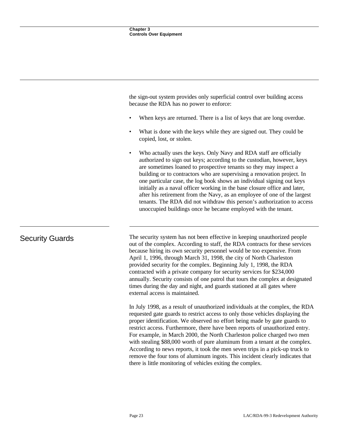the sign-out system provides only superficial control over building access because the RDA has no power to enforce:

- When keys are returned. There is a list of keys that are long overdue.
- What is done with the keys while they are signed out. They could be copied, lost, or stolen.
- Who actually uses the keys. Only Navy and RDA staff are officially authorized to sign out keys; according to the custodian, however, keys are sometimes loaned to prospective tenants so they may inspect a building or to contractors who are supervising a renovation project. In one particular case, the log book shows an individual signing out keys initially as a naval officer working in the base closure office and later, after his retirement from the Navy, as an employee of one of the largest tenants. The RDA did not withdraw this person's authorization to access unoccupied buildings once he became employed with the tenant.

Security Guards The security system has not been effective in keeping unauthorized people out of the complex. According to staff, the RDA contracts for these services because hiring its own security personnel would be too expensive. From April 1, 1996, through March 31, 1998, the city of North Charleston provided security for the complex. Beginning July 1, 1998, the RDA contracted with a private company for security services for \$234,000 annually. Security consists of one patrol that tours the complex at designated times during the day and night, and guards stationed at all gates where external access is maintained.

> In July 1998, as a result of unauthorized individuals at the complex, the RDA requested gate guards to restrict access to only those vehicles displaying the proper identification. We observed no effort being made by gate guards to restrict access. Furthermore, there have been reports of unauthorized entry. For example, in March 2000, the North Charleston police charged two men with stealing \$88,000 worth of pure aluminum from a tenant at the complex. According to news reports, it took the men seven trips in a pick-up truck to remove the four tons of aluminum ingots. This incident clearly indicates that there is little monitoring of vehicles exiting the complex.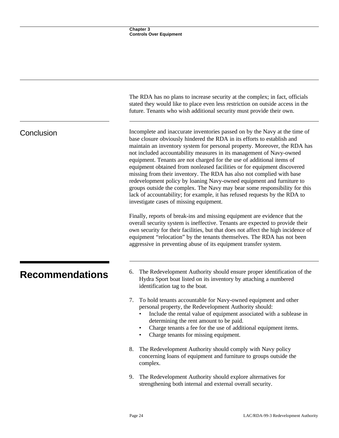|                        | The RDA has no plans to increase security at the complex; in fact, officials<br>stated they would like to place even less restriction on outside access in the<br>future. Tenants who wish additional security must provide their own.                                                                                                                                                                                                                                                                                                                                                                                                                                                                                                                                                                                   |
|------------------------|--------------------------------------------------------------------------------------------------------------------------------------------------------------------------------------------------------------------------------------------------------------------------------------------------------------------------------------------------------------------------------------------------------------------------------------------------------------------------------------------------------------------------------------------------------------------------------------------------------------------------------------------------------------------------------------------------------------------------------------------------------------------------------------------------------------------------|
| Conclusion             | Incomplete and inaccurate inventories passed on by the Navy at the time of<br>base closure obviously hindered the RDA in its efforts to establish and<br>maintain an inventory system for personal property. Moreover, the RDA has<br>not included accountability measures in its management of Navy-owned<br>equipment. Tenants are not charged for the use of additional items of<br>equipment obtained from nonleased facilities or for equipment discovered<br>missing from their inventory. The RDA has also not complied with base<br>redevelopment policy by loaning Navy-owned equipment and furniture to<br>groups outside the complex. The Navy may bear some responsibility for this<br>lack of accountability; for example, it has refused requests by the RDA to<br>investigate cases of missing equipment. |
|                        | Finally, reports of break-ins and missing equipment are evidence that the<br>overall security system is ineffective. Tenants are expected to provide their<br>own security for their facilities, but that does not affect the high incidence of<br>equipment "relocation" by the tenants themselves. The RDA has not been<br>aggressive in preventing abuse of its equipment transfer system.                                                                                                                                                                                                                                                                                                                                                                                                                            |
| <b>Recommendations</b> | The Redevelopment Authority should ensure proper identification of the<br>6.<br>Hydra Sport boat listed on its inventory by attaching a numbered<br>identification tag to the boat.                                                                                                                                                                                                                                                                                                                                                                                                                                                                                                                                                                                                                                      |
|                        | To hold tenants accountable for Navy-owned equipment and other<br>7.<br>personal property, the Redevelopment Authority should:<br>Include the rental value of equipment associated with a sublease in<br>determining the rent amount to be paid.<br>Charge tenants a fee for the use of additional equipment items.<br>Charge tenants for missing equipment.                                                                                                                                                                                                                                                                                                                                                                                                                                                             |
|                        | The Redevelopment Authority should comply with Navy policy<br>8.<br>concerning loans of equipment and furniture to groups outside the<br>complex.                                                                                                                                                                                                                                                                                                                                                                                                                                                                                                                                                                                                                                                                        |
|                        | The Redevelopment Authority should explore alternatives for<br>9.<br>strengthening both internal and external overall security.                                                                                                                                                                                                                                                                                                                                                                                                                                                                                                                                                                                                                                                                                          |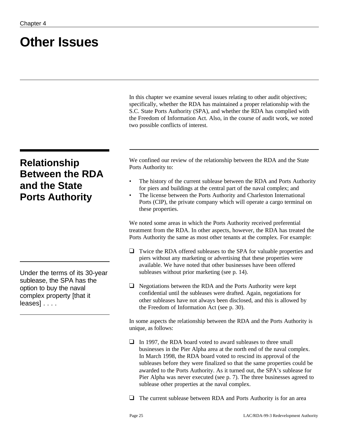## **Other Issues**

In this chapter we examine several issues relating to other audit objectives; specifically, whether the RDA has maintained a proper relationship with the S.C. State Ports Authority (SPA), and whether the RDA has complied with the Freedom of Information Act. Also, in the course of audit work, we noted two possible conflicts of interest.

### **Relationship Between the RDA and the State Ports Authority**

Under the terms of its 30-year sublease, the SPA has the option to buy the naval complex property [that it leases] . . . .

We confined our review of the relationship between the RDA and the State Ports Authority to:

- The history of the current sublease between the RDA and Ports Authority for piers and buildings at the central part of the naval complex; and
- The license between the Ports Authority and Charleston International Ports (CIP), the private company which will operate a cargo terminal on these properties.

We noted some areas in which the Ports Authority received preferential treatment from the RDA. In other aspects, however, the RDA has treated the Ports Authority the same as most other tenants at the complex. For example:

- $\Box$  Twice the RDA offered subleases to the SPA for valuable properties and piers without any marketing or advertising that these properties were available. We have noted that other businesses have been offered subleases without prior marketing (see p. 14).
- $\Box$  Negotiations between the RDA and the Ports Authority were kept confidential until the subleases were drafted. Again, negotiations for other subleases have not always been disclosed, and this is allowed by the Freedom of Information Act (see p. 30).

In some aspects the relationship between the RDA and the Ports Authority is unique, as follows:

 $\Box$  In 1997, the RDA board voted to award subleases to three small businesses in the Pier Alpha area at the north end of the naval complex. In March 1998, the RDA board voted to rescind its approval of the subleases before they were finalized so that the same properties could be awarded to the Ports Authority. As it turned out, the SPA's sublease for Pier Alpha was never executed (see p. 7). The three businesses agreed to sublease other properties at the naval complex.

 $\Box$  The current sublease between RDA and Ports Authority is for an area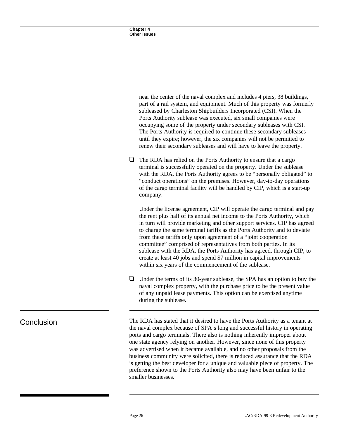|            | part of a rail system, and equipment. Much of this property was formerly<br>subleased by Charleston Shipbuilders Incorporated (CSI). When the<br>Ports Authority sublease was executed, six small companies were<br>occupying some of the property under secondary subleases with CSI.<br>The Ports Authority is required to continue these secondary subleases<br>until they expire; however, the six companies will not be permitted to<br>renew their secondary subleases and will have to leave the property.                                                                                                                                                   |
|------------|---------------------------------------------------------------------------------------------------------------------------------------------------------------------------------------------------------------------------------------------------------------------------------------------------------------------------------------------------------------------------------------------------------------------------------------------------------------------------------------------------------------------------------------------------------------------------------------------------------------------------------------------------------------------|
|            | $\Box$<br>The RDA has relied on the Ports Authority to ensure that a cargo<br>terminal is successfully operated on the property. Under the sublease<br>with the RDA, the Ports Authority agrees to be "personally obligated" to<br>"conduct operations" on the premises. However, day-to-day operations<br>of the cargo terminal facility will be handled by CIP, which is a start-up<br>company.                                                                                                                                                                                                                                                                   |
|            | Under the license agreement, CIP will operate the cargo terminal and pay<br>the rent plus half of its annual net income to the Ports Authority, which<br>in turn will provide marketing and other support services. CIP has agreed<br>to charge the same terminal tariffs as the Ports Authority and to deviate<br>from these tariffs only upon agreement of a "joint cooperation"<br>committee" comprised of representatives from both parties. In its<br>sublease with the RDA, the Ports Authority has agreed, through CIP, to<br>create at least 40 jobs and spend \$7 million in capital improvements<br>within six years of the commencement of the sublease. |
|            | Under the terms of its 30-year sublease, the SPA has an option to buy the<br>⊔<br>naval complex property, with the purchase price to be the present value<br>of any unpaid lease payments. This option can be exercised anytime<br>during the sublease.                                                                                                                                                                                                                                                                                                                                                                                                             |
| Conclusion | The RDA has stated that it desired to have the Ports Authority as a tenant at<br>the naval complex because of SPA's long and successful history in operating<br>ports and cargo terminals. There also is nothing inherently improper about<br>one state agency relying on another. However, since none of this property<br>was advertised when it became available, and no other proposals from the<br>business community were solicited, there is reduced assurance that the RDA                                                                                                                                                                                   |

near the center of the naval complex and includes 4 piers, 38 buildings,

is getting the best developer for a unique and valuable piece of property. The preference shown to the Ports Authority also may have been unfair to the

smaller businesses.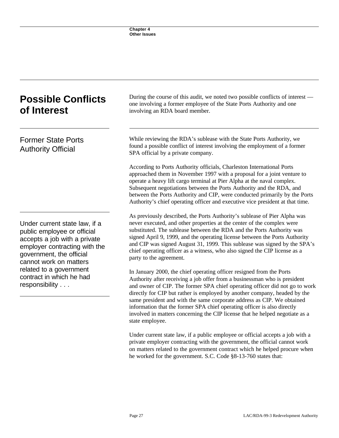| <b>Possible Conflicts</b><br>of Interest                                                                                                                                                                                                                     | During the course of this audit, we noted two possible conflicts of interest —<br>one involving a former employee of the State Ports Authority and one<br>involving an RDA board member.                                                                                                                                                                                                                                                                                                                                                                               |  |  |  |  |
|--------------------------------------------------------------------------------------------------------------------------------------------------------------------------------------------------------------------------------------------------------------|------------------------------------------------------------------------------------------------------------------------------------------------------------------------------------------------------------------------------------------------------------------------------------------------------------------------------------------------------------------------------------------------------------------------------------------------------------------------------------------------------------------------------------------------------------------------|--|--|--|--|
| <b>Former State Ports</b><br><b>Authority Official</b>                                                                                                                                                                                                       | While reviewing the RDA's sublease with the State Ports Authority, we<br>found a possible conflict of interest involving the employment of a former<br>SPA official by a private company.                                                                                                                                                                                                                                                                                                                                                                              |  |  |  |  |
|                                                                                                                                                                                                                                                              | According to Ports Authority officials, Charleston International Ports<br>approached them in November 1997 with a proposal for a joint venture to<br>operate a heavy lift cargo terminal at Pier Alpha at the naval complex.<br>Subsequent negotiations between the Ports Authority and the RDA, and<br>between the Ports Authority and CIP, were conducted primarily by the Ports<br>Authority's chief operating officer and executive vice president at that time.                                                                                                   |  |  |  |  |
| Under current state law, if a<br>public employee or official<br>accepts a job with a private<br>employer contracting with the<br>government, the official<br>cannot work on matters<br>related to a government<br>contract in which he had<br>responsibility | As previously described, the Ports Authority's sublease of Pier Alpha was<br>never executed, and other properties at the center of the complex were<br>substituted. The sublease between the RDA and the Ports Authority was<br>signed April 9, 1999, and the operating license between the Ports Authority<br>and CIP was signed August 31, 1999. This sublease was signed by the SPA's<br>chief operating officer as a witness, who also signed the CIP license as a<br>party to the agreement.                                                                      |  |  |  |  |
|                                                                                                                                                                                                                                                              | In January 2000, the chief operating officer resigned from the Ports<br>Authority after receiving a job offer from a businessman who is president<br>and owner of CIP. The former SPA chief operating officer did not go to work<br>directly for CIP but rather is employed by another company, headed by the<br>same president and with the same corporate address as CIP. We obtained<br>information that the former SPA chief operating officer is also directly<br>involved in matters concerning the CIP license that he helped negotiate as a<br>state employee. |  |  |  |  |

Under current state law, if a public employee or official accepts a job with a private employer contracting with the government, the official cannot work on matters related to the government contract which he helped procure when he worked for the government. S.C. Code §8-13-760 states that: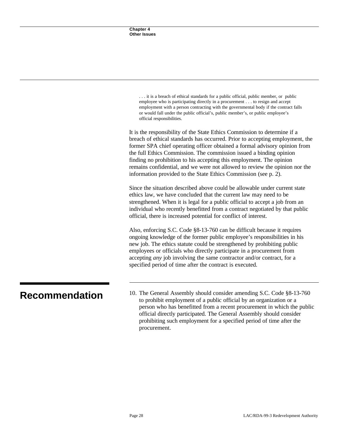| it is a breach of ethical standards for a public official, public member, or public   |
|---------------------------------------------------------------------------------------|
| employee who is participating directly in a procurement to resign and accept          |
| employment with a person contracting with the governmental body if the contract falls |
| or would fall under the public official's, public member's, or public employee's      |
| official responsibilities.                                                            |

It is the responsibility of the State Ethics Commission to determine if a breach of ethical standards has occurred. Prior to accepting employment, the former SPA chief operating officer obtained a formal advisory opinion from the full Ethics Commission. The commission issued a binding opinion finding no prohibition to his accepting this employment. The opinion remains confidential, and we were not allowed to review the opinion nor the information provided to the State Ethics Commission (see p. 2).

Since the situation described above could be allowable under current state ethics law, we have concluded that the current law may need to be strengthened. When it is legal for a public official to accept a job from an individual who recently benefitted from a contract negotiated by that public official, there is increased potential for conflict of interest.

Also, enforcing S.C. Code §8-13-760 can be difficult because it requires ongoing knowledge of the former public employee's responsibilities in his new job. The ethics statute could be strengthened by prohibiting public employees or officials who directly participate in a procurement from accepting *any* job involving the same contractor and/or contract, for a specified period of time after the contract is executed.

**Recommendation** 10. The General Assembly should consider amending S.C. Code §8-13-760 to prohibit employment of a public official by an organization or a person who has benefitted from a recent procurement in which the public official directly participated. The General Assembly should consider prohibiting such employment for a specified period of time after the procurement.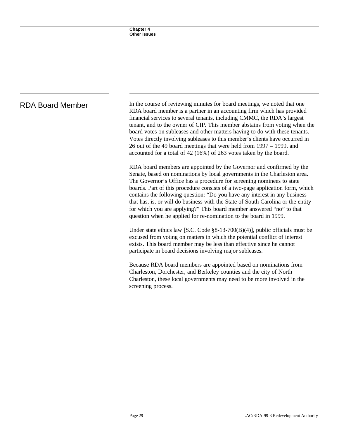RDA Board Member In the course of reviewing minutes for board meetings, we noted that one RDA board member is a partner in an accounting firm which has provided financial services to several tenants, including CMMC, the RDA's largest tenant, and to the owner of CIP. This member abstains from voting when the board votes on subleases and other matters having to do with these tenants. Votes directly involving subleases to this member's clients have occurred in 26 out of the 49 board meetings that were held from 1997 – 1999, and accounted for a total of 42 (16%) of 263 votes taken by the board.

> RDA board members are appointed by the Governor and confirmed by the Senate, based on nominations by local governments in the Charleston area. The Governor's Office has a procedure for screening nominees to state boards. Part of this procedure consists of a two-page application form, which contains the following question: "Do you have any interest in any business that has, is, or will do business with the State of South Carolina or the entity for which you are applying?" This board member answered "no" to that question when he applied for re-nomination to the board in 1999.

> Under state ethics law [S.C. Code §8-13-700(B)(4)], public officials must be excused from voting on matters in which the potential conflict of interest exists. This board member may be less than effective since he cannot participate in board decisions involving major subleases.

Because RDA board members are appointed based on nominations from Charleston, Dorchester, and Berkeley counties and the city of North Charleston, these local governments may need to be more involved in the screening process.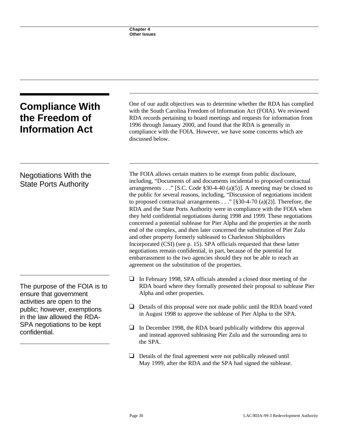| <b>Compliance With</b><br>the Freedom of<br><b>Information Act</b>                                                                                                                                  | One of our audit objectives was to determine whether the RDA has complied<br>with the South Carolina Freedom of Information Act (FOIA). We reviewed<br>RDA records pertaining to board meetings and requests for information from<br>1996 through January 2000, and found that the RDA is generally in                                                                                                                                                                                                                                                                                                                                                                                                                                                                                                                                                                                                                                                                                                                                                                          |  |  |  |  |  |
|-----------------------------------------------------------------------------------------------------------------------------------------------------------------------------------------------------|---------------------------------------------------------------------------------------------------------------------------------------------------------------------------------------------------------------------------------------------------------------------------------------------------------------------------------------------------------------------------------------------------------------------------------------------------------------------------------------------------------------------------------------------------------------------------------------------------------------------------------------------------------------------------------------------------------------------------------------------------------------------------------------------------------------------------------------------------------------------------------------------------------------------------------------------------------------------------------------------------------------------------------------------------------------------------------|--|--|--|--|--|
|                                                                                                                                                                                                     | compliance with the FOIA. However, we have some concerns which are<br>discussed below.                                                                                                                                                                                                                                                                                                                                                                                                                                                                                                                                                                                                                                                                                                                                                                                                                                                                                                                                                                                          |  |  |  |  |  |
| <b>Negotiations With the</b><br><b>State Ports Authority</b>                                                                                                                                        | The FOIA allows certain matters to be exempt from public disclosure,<br>including, "Documents of and documents incidental to proposed contractual<br>arrangements" [S.C. Code §30-4-40 (a)(5)]. A meeting may be closed to<br>the public for several reasons, including, "Discussion of negotiations incident<br>to proposed contractual arrangements" [ $\S30-4-70$ (a)(2)]. Therefore, the<br>RDA and the State Ports Authority were in compliance with the FOIA when<br>they held confidential negotiations during 1998 and 1999. These negotiations<br>concerned a potential sublease for Pier Alpha and the properties at the north<br>end of the complex, and then later concerned the substitution of Pier Zulu<br>and other property formerly subleased to Charleston Shipbuilders<br>Incorporated (CSI) (see p. 15). SPA officials requested that these latter<br>negotiations remain confidential, in part, because of the potential for<br>embarrassment to the two agencies should they not be able to reach an<br>agreement on the substitution of the properties. |  |  |  |  |  |
| The purpose of the FOIA is to<br>ensure that government<br>activities are open to the<br>public; however, exemptions<br>in the law allowed the RDA-<br>SPA negotiations to be kept<br>confidential. | In February 1998, SPA officials attended a closed door meeting of the<br>⊔<br>RDA board where they formally presented their proposal to sublease Pier<br>Alpha and other properties.<br>Details of this proposal were not made public until the RDA board voted<br>in August 1998 to approve the sublease of Pier Alpha to the SPA.                                                                                                                                                                                                                                                                                                                                                                                                                                                                                                                                                                                                                                                                                                                                             |  |  |  |  |  |
|                                                                                                                                                                                                     | In December 1998, the RDA board publically withdrew this approval<br>⊔<br>and instead approved subleasing Pier Zulu and the surrounding area to<br>the SPA.                                                                                                                                                                                                                                                                                                                                                                                                                                                                                                                                                                                                                                                                                                                                                                                                                                                                                                                     |  |  |  |  |  |
|                                                                                                                                                                                                     | ⊔<br>Details of the final agreement were not publically released until                                                                                                                                                                                                                                                                                                                                                                                                                                                                                                                                                                                                                                                                                                                                                                                                                                                                                                                                                                                                          |  |  |  |  |  |

May 1999, after the RDA and the SPA had signed the sublease.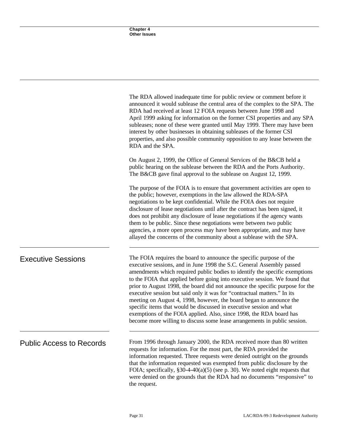|                                 | The RDA allowed inadequate time for public review or comment before it<br>announced it would sublease the central area of the complex to the SPA. The<br>RDA had received at least 12 FOIA requests between June 1998 and<br>April 1999 asking for information on the former CSI properties and any SPA<br>subleases; none of these were granted until May 1999. There may have been<br>interest by other businesses in obtaining subleases of the former CSI<br>properties, and also possible community opposition to any lease between the<br>RDA and the SPA.                                                                                                                                                                                                           |  |  |  |  |
|---------------------------------|----------------------------------------------------------------------------------------------------------------------------------------------------------------------------------------------------------------------------------------------------------------------------------------------------------------------------------------------------------------------------------------------------------------------------------------------------------------------------------------------------------------------------------------------------------------------------------------------------------------------------------------------------------------------------------------------------------------------------------------------------------------------------|--|--|--|--|
|                                 | On August 2, 1999, the Office of General Services of the B&CB held a<br>public hearing on the sublease between the RDA and the Ports Authority.<br>The B&CB gave final approval to the sublease on August 12, 1999.                                                                                                                                                                                                                                                                                                                                                                                                                                                                                                                                                        |  |  |  |  |
|                                 | The purpose of the FOIA is to ensure that government activities are open to<br>the public; however, exemptions in the law allowed the RDA-SPA<br>negotiations to be kept confidential. While the FOIA does not require<br>disclosure of lease negotiations until after the contract has been signed, it<br>does not prohibit any disclosure of lease negotiations if the agency wants<br>them to be public. Since these negotiations were between two public<br>agencies, a more open process may have been appropriate, and may have<br>allayed the concerns of the community about a sublease with the SPA.                                                                                                                                                              |  |  |  |  |
| <b>Executive Sessions</b>       | The FOIA requires the board to announce the specific purpose of the<br>executive sessions, and in June 1998 the S.C. General Assembly passed<br>amendments which required public bodies to identify the specific exemptions<br>to the FOIA that applied before going into executive session. We found that<br>prior to August 1998, the board did not announce the specific purpose for the<br>executive session but said only it was for "contractual matters." In its<br>meeting on August 4, 1998, however, the board began to announce the<br>specific items that would be discussed in executive session and what<br>exemptions of the FOIA applied. Also, since 1998, the RDA board has<br>become more willing to discuss some lease arrangements in public session. |  |  |  |  |
| <b>Public Access to Records</b> | From 1996 through January 2000, the RDA received more than 80 written<br>requests for information. For the most part, the RDA provided the<br>information requested. Three requests were denied outright on the grounds<br>that the information requested was exempted from public disclosure by the<br>FOIA; specifically, $\S 30-4-40(a)(5)$ (see p. 30). We noted eight requests that<br>were denied on the grounds that the RDA had no documents "responsive" to<br>the request.                                                                                                                                                                                                                                                                                       |  |  |  |  |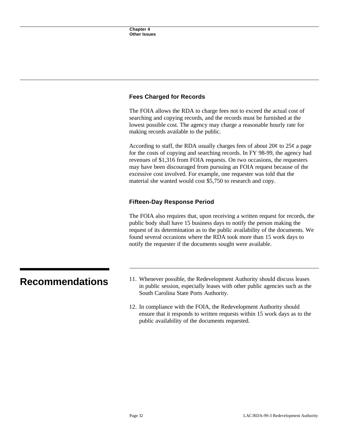#### **Fees Charged for Records**

The FOIA allows the RDA to charge fees not to exceed the actual cost of searching and copying records, and the records must be furnished at the lowest possible cost. The agency may charge a reasonable hourly rate for making records available to the public.

According to staff, the RDA usually charges fees of about  $20¢$  to  $25¢$  a page for the costs of copying and searching records. In FY 98-99, the agency had revenues of \$1,316 from FOIA requests. On two occasions, the requesters may have been discouraged from pursuing an FOIA request because of the excessive cost involved. For example, one requester was told that the material she wanted would cost \$5,750 to research and copy.

#### **Fifteen-Day Response Period**

The FOIA also requires that, upon receiving a written request for records, the public body shall have 15 business days to notify the person making the request of its determination as to the public availability of the documents. We found several occasions where the RDA took more than 15 work days to notify the requester if the documents sought were available.

- **Recommendations** 11. Whenever possible, the Redevelopment Authority should discuss leases in public session, especially leases with other public agencies such as the South Carolina State Ports Authority.
	- 12. In compliance with the FOIA, the Redevelopment Authority should ensure that it responds to written requests within 15 work days as to the public availability of the documents requested.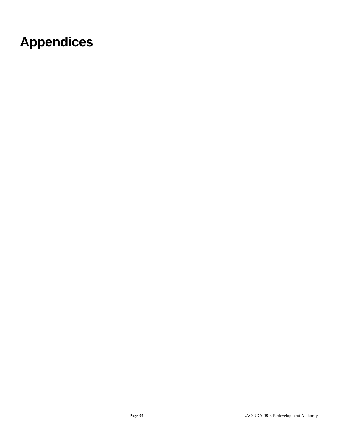## **Appendices**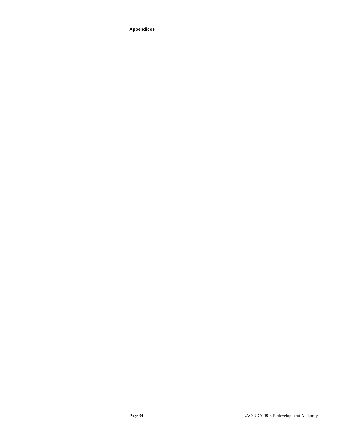**Appendices**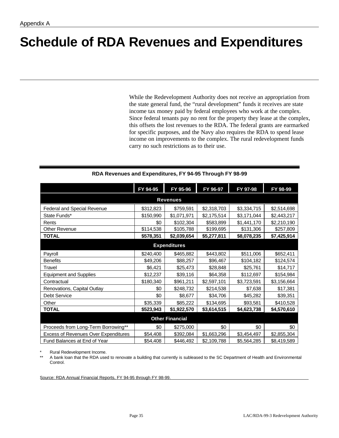## **Schedule of RDA Revenues and Expenditures**

While the Redevelopment Authority does not receive an appropriation from the state general fund, the "rural development" funds it receives are state income tax money paid by federal employees who work at the complex. Since federal tenants pay no rent for the property they lease at the complex, this offsets the lost revenues to the RDA. The federal grants are earmarked for specific purposes, and the Navy also requires the RDA to spend lease income on improvements to the complex. The rural redevelopment funds carry no such restrictions as to their use.

|                                             | FY 94-95  | FY 95-96    | FY 96-97    | FY 97-98    | FY 98-99    |  |  |  |  |
|---------------------------------------------|-----------|-------------|-------------|-------------|-------------|--|--|--|--|
| <b>Revenues</b>                             |           |             |             |             |             |  |  |  |  |
| Federal and Special Revenue                 | \$312,823 | \$759,591   | \$2,318,703 | \$3,334,715 | \$2,514,698 |  |  |  |  |
| State Funds*                                | \$150,990 | \$1,071,971 | \$2,175,514 | \$3,171,044 | \$2,443,217 |  |  |  |  |
| Rents                                       | \$0       | \$102,304   | \$583,899   | \$1,441,170 | \$2,210,190 |  |  |  |  |
| <b>Other Revenue</b>                        | \$114,538 | \$105,788   | \$199,695   | \$131,306   | \$257,809   |  |  |  |  |
| <b>TOTAL</b>                                | \$578,351 | \$2,039,654 | \$5,277,811 | \$8,078,235 | \$7,425,914 |  |  |  |  |
| <b>Expenditures</b>                         |           |             |             |             |             |  |  |  |  |
| Payroll                                     | \$240,400 | \$465,882   | \$443,802   | \$511,006   | \$652,411   |  |  |  |  |
| <b>Benefits</b>                             | \$49,206  | \$88,257    | \$96,467    | \$104,182   | \$124,574   |  |  |  |  |
| Travel                                      | \$6,421   | \$25,473    | \$28,848    | \$25,761    | \$14,717    |  |  |  |  |
| <b>Equipment and Supplies</b>               | \$12,237  | \$39,116    | \$64,358    | \$112,697   | \$154,984   |  |  |  |  |
| Contractual                                 | \$180,340 | \$961,211   | \$2,597,101 | \$3,723,591 | \$3,156,664 |  |  |  |  |
| Renovations, Capital Outlay                 | \$0       | \$248,732   | \$214,538   | \$7,638     | \$17,381    |  |  |  |  |
| <b>Debt Service</b>                         | \$0       | \$8,677     | \$34,706    | \$45,282    | \$39,351    |  |  |  |  |
| Other                                       | \$35,339  | \$85,222    | \$134,695   | \$93,581    | \$410,528   |  |  |  |  |
| <b>TOTAL</b>                                | \$523,943 | \$1,922,570 | \$3,614,515 | \$4,623,738 | \$4,570,610 |  |  |  |  |
| <b>Other Financial</b>                      |           |             |             |             |             |  |  |  |  |
| Proceeds from Long-Term Borrowing**         | \$0       | \$275,000   | \$0         | \$0         | \$0         |  |  |  |  |
| <b>Excess of Revenues Over Expenditures</b> | \$54,408  | \$392,084   | \$1,663,296 | \$3,454,497 | \$2,855,304 |  |  |  |  |
| Fund Balances at End of Year                | \$54,408  | \$446,492   | \$2,109,788 | \$5,564,285 | \$8,419,589 |  |  |  |  |

#### **RDA Revenues and Expenditures, FY 94-95 Through FY 98-99**

Rural Redevelopment Income.

A bank loan that the RDA used to renovate a building that currently is subleased to the SC Department of Health and Environmental Control.

Source: RDA Annual Financial Reports, FY 94-95 through FY 98-99.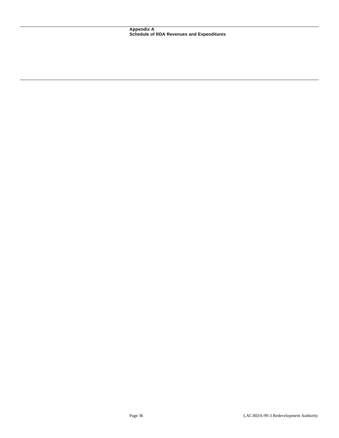**Appendix A Schedule of RDA Revenues and Expenditures**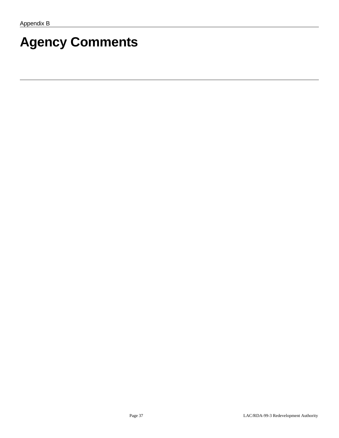# **Agency Comments**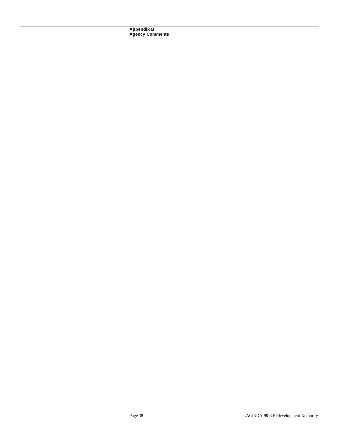**Appendix B Agency Comments**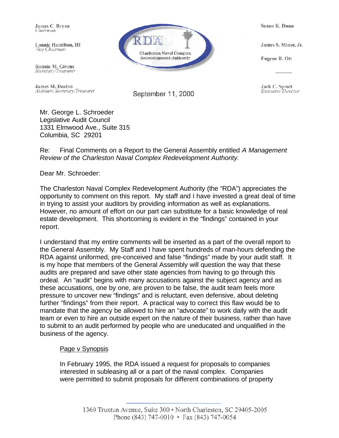James C. Brvan Chairman

Lonnic Hamilton, III Vice Chairman

Ronnie M. Givens Secretary/Treasurer

James M. Deaton Assistant Secretary/Treasurer **Charleston Naval Complex** Redevelopment Authority

September 11, 2000

Susan K. Dunn

James S. Minor, Jr.

Eugene R. Ott

Jack C. Sprott *Executive Director* 

Mr. George L. Schroeder Legislative Audit Council 1331 Elmwood Ave., Suite 315 Columbia, SC 29201

Re: Final Comments on a Report to the General Assembly entitled *A Management Review of the Charleston Naval Complex Redevelopment Authority.* 

Dear Mr. Schroeder:

The Charleston Naval Complex Redevelopment Authority (the "RDA") appreciates the opportunity to comment on this report. My staff and I have invested a great deal of time in trying to assist your auditors by providing information as well as explanations. However, no amount of effort on our part can substitute for a basic knowledge of real estate development. This shortcoming is evident in the "findings" contained in your report.

I understand that my entire comments will be inserted as a part of the overall report to the General Assembly. My Staff and I have spent hundreds of man-hours defending the RDA against uniformed, pre-conceived and false "findings" made by your audit staff. It is my hope that members of the General Assembly will question the way that these audits are prepared and save other state agencies from having to go through this ordeal. An "audit" begins with many accusations against the subject agency and as these accusations, one by one, are proven to be false, the audit team feels more pressure to uncover new "findings" and is reluctant, even defensive, about deleting further "findings" from their report. A practical way to correct this flaw would be to mandate that the agency be allowed to hire an "advocate" to work daily with the audit team or even to hire an outside expert on the nature of their business, rather than have to submit to an audit performed by people who are uneducated and unqualified in the business of the agency.

#### Page v Synopsis

In February 1995, the RDA issued a request for proposals to companies interested in subleasing all or a part of the naval complex. Companies were permitted to submit proposals for different combinations of property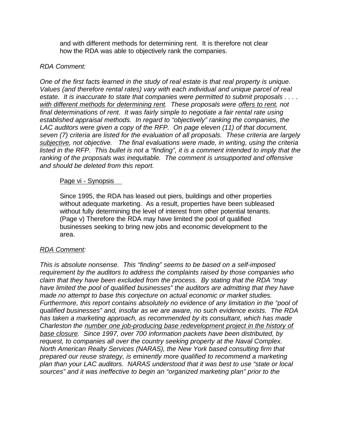and with different methods for determining rent. It is therefore not clear how the RDA was able to objectively rank the companies.

#### *RDA Comment:*

*One of the first facts learned in the study of real estate is that real property is unique. Values (and therefore rental rates) vary with each individual and unique parcel of real estate. It is inaccurate to state that companies were permitted to submit proposals . . . . with different methods for determining rent. These proposals were offers to rent, not final determinations of rent. It was fairly simple to negotiate a fair rental rate using established appraisal methods. In regard to "objectively" ranking the companies, the LAC auditors were given a copy of the RFP. On page eleven (11) of that document, seven (7) criteria are listed for the evaluation of all proposals. These criteria are largely subjective, not objective. The final evaluations were made, in writing, using the criteria listed in the RFP. This bullet is not a "finding", it is a comment intended to imply that the ranking of the proposals was inequitable. The comment is unsupported and offensive and should be deleted from this report.*

#### Page vi - Synopsis

Since 1995, the RDA has leased out piers, buildings and other properties without adequate marketing. As a result, properties have been subleased without fully determining the level of interest from other potential tenants. (Page v) Therefore the RDA may have limited the pool of qualified businesses seeking to bring new jobs and economic development to the area.

### *RDA Comment:*

*This is absolute nonsense. This "finding" seems to be based on a self-imposed requirement by the auditors to address the complaints raised by those companies who claim that they have been excluded from the process. By stating that the RDA "may have limited the pool of qualified businesses" the auditors are admitting that they have made no attempt to base this conjecture on actual economic or market studies. Furthermore, this report contains absolutely no evidence of any limitation in the "pool of qualified businesses" and, insofar as we are aware, no such evidence exists. The RDA has taken a marketing approach, as recommended by its consultant, which has made Charleston the number one job-producing base redevelopment project in the history of base closure. Since 1997, over 700 information packets have been distributed, by request, to companies all over the country seeking property at the Naval Complex. North American Realty Services (NARAS), the New York based consulting firm that prepared our reuse strategy, is eminently more qualified to recommend a marketing plan than your LAC auditors. NARAS understood that it was best to use "state or local sources" and it was ineffective to begin an "organized marketing plan" prior to the*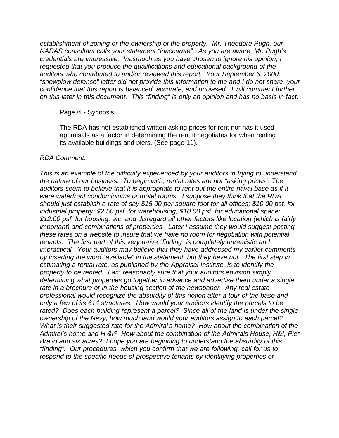*establishment of zoning or the ownership of the property. Mr. Theodore Pugh, our NARAS consultant calls your statement "inaccurate". As you are aware, Mr. Pugh's credentials are impressive. Inasmuch as you have chosen to ignore his opinion, I requested that you produce the qualifications and educational background of the auditors who contributed to and/or reviewed this report. Your September 6, 2000 "snowplow defense" letter did not provide this information to me and I do not share your confidence that this report is balanced, accurate, and unbiased. I will comment further on this later in this document. This "finding" is only an opinion and has no basis in fact.* 

#### Page vi - Synopsis

The RDA has not established written asking prices for rent nor has it used appraisals as a factor in determining the rent it negotiates for when renting its available buildings and piers. (See page 11).

#### *RDA Comment:*

*This is an example of the difficulty experienced by your auditors in trying to understand the nature of our business. To begin with, rental rates are not "asking prices". The auditors seem to believe that it is appropriate to rent out the entire naval base as if it were waterfront condominiums or motel rooms. I suppose they think that the RDA should just establish a rate of say \$15.00 per square foot for all offices; \$10.00 psf. for industrial property; \$2.50 psf. for warehousing; \$10.00 psf. for educational space; \$12.00 psf. for housing, etc. and disregard all other factors like location (which is fairly important) and combinations of properties. Later I assume they would suggest posting these rates on a website to insure that we have no room for negotiation with potential tenants. The first part of this very naïve "finding" is completely unrealistic and impractical. Your auditors may believe that they have addressed my earlier comments by inserting the word "available" in the statement, but they have not. The first step in estimating a rental rate, as published by the Appraisal Institute, is to identify the property to be rented. I am reasonably sure that your auditors envision simply determining what properties go together in advance and advertise them under a single rate in a brochure or in the housing section of the newspaper. Any real estate professional would recognize the absurdity of this notion after a tour of the base and only a few of its 614 structures. How would your auditors identify the parcels to be rated? Does each building represent a parcel? Since all of the land is under the single ownership of the Navy, how much land would your auditors assign to each parcel? What is their suggested rate for the Admiral's home? How about the combination of the Admiral's home and H &I? How about the combination of the Admirals House, H&I, Pier Bravo and six acres? I hope you are beginning to understand the absurdity of this "finding". Our procedures, which you confirm that we are following, call for us to respond to the specific needs of prospective tenants by identifying properties or*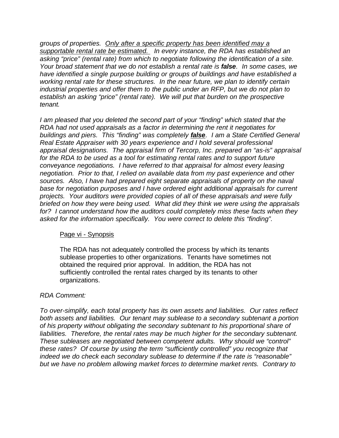*groups of properties. Only after a specific property has been identified may a supportable rental rate be estimated. In every instance, the RDA has established an asking "price" (rental rate) from which to negotiate following the identification of a site. Your broad statement that we do not establish a rental rate is false. In some cases, we have identified a single purpose building or groups of buildings and have established a working rental rate for these structures. In the near future, we plan to identify certain industrial properties and offer them to the public under an RFP, but we do not plan to establish an asking "price" (rental rate). We will put that burden on the prospective tenant.* 

*I am pleased that you deleted the second part of your "finding" which stated that the RDA had not used appraisals as a factor in determining the rent it negotiates for buildings and piers. This "finding" was completely false. I am a State Certified General Real Estate Appraiser with 30 years experience and I hold several professional appraisal designations. The appraisal firm of Tercorp, Inc. prepared an "as-is" appraisal for the RDA to be used as a tool for estimating rental rates and to support future conveyance negotiations. I have referred to that appraisal for almost every leasing negotiation. Prior to that, I relied on available data from my past experience and other sources. Also, I have had prepared eight separate appraisals of property on the naval base for negotiation purposes and I have ordered eight additional appraisals for current projects. Your auditors were provided copies of all of these appraisals and were fully briefed on how they were being used. What did they think we were using the appraisals for? I cannot understand how the auditors could completely miss these facts when they asked for the information specifically. You were correct to delete this "finding".* 

#### Page vi - Synopsis

The RDA has not adequately controlled the process by which its tenants sublease properties to other organizations. Tenants have sometimes not obtained the required prior approval. In addition, the RDA has not sufficiently controlled the rental rates charged by its tenants to other organizations.

### *RDA Comment:*

*To over-simplify, each total property has its own assets and liabilities. Our rates reflect both assets and liabilities. Our tenant may sublease to a secondary subtenant a portion of his property without obligating the secondary subtenant to his proportional share of liabilities. Therefore, the rental rates may be much higher for the secondary subtenant. These subleases are negotiated between competent adults. Why should we "control" these rates? Of course by using the term "sufficiently controlled" you recognize that indeed we do check each secondary sublease to determine if the rate is "reasonable" but we have no problem allowing market forces to determine market rents. Contrary to*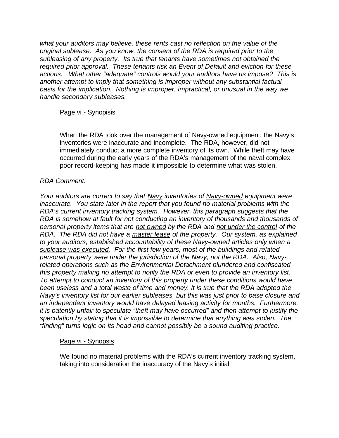*what your auditors may believe, these rents cast no reflection on the value of the original sublease. As you know, the consent of the RDA is required prior to the subleasing of any property. Its true that tenants have sometimes not obtained the required prior approval. These tenants risk an Event of Default and eviction for these actions. What other "adequate" controls would your auditors have us impose? This is another attempt to imply that something is improper without any substantial factual basis for the implication. Nothing is improper, impractical, or unusual in the way we handle secondary subleases.* 

#### Page vi - Synopisis

When the RDA took over the management of Navy-owned equipment, the Navy's inventories were inaccurate and incomplete. The RDA, however, did not immediately conduct a more complete inventory of its own. While theft may have occurred during the early years of the RDA's management of the naval complex, poor record-keeping has made it impossible to determine what was stolen.

#### *RDA Comment:*

*Your auditors are correct to say that Navy inventories of Navy-owned equipment were inaccurate. You state later in the report that you found no material problems with the RDA's current inventory tracking system. However, this paragraph suggests that the RDA is somehow at fault for not conducting an inventory of thousands and thousands of personal property items that are not owned by the RDA and not under the control of the RDA. The RDA did not have a master lease of the property. Our system, as explained to your auditors, established accountability of these Navy-owned articles only when a sublease was executed. For the first few years, most of the buildings and related personal property were under the jurisdiction of the Navy, not the RDA. Also, Navyrelated operations such as the Environmental Detachment plundered and confiscated this property making no attempt to notify the RDA or even to provide an inventory list. To attempt to conduct an inventory of this property under these conditions would have been useless and a total waste of time and money. It is true that the RDA adopted the Navy's inventory list for our earlier subleases, but this was just prior to base closure and an independent inventory would have delayed leasing activity for months. Furthermore, it is patently unfair to speculate "theft may have occurred" and then attempt to justify the speculation by stating that it is impossible to determine that anything was stolen. The "finding" turns logic on its head and cannot possibly be a sound auditing practice.* 

#### Page vi - Synopsis

We found no material problems with the RDA's current inventory tracking system, taking into consideration the inaccuracy of the Navy's initial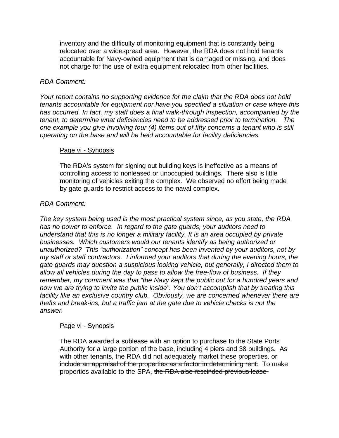inventory and the difficulty of monitoring equipment that is constantly being relocated over a widespread area. However, the RDA does not hold tenants accountable for Navy-owned equipment that is damaged or missing, and does not charge for the use of extra equipment relocated from other facilities.

#### *RDA Comment:*

*Your report contains no supporting evidence for the claim that the RDA does not hold tenants accountable for equipment nor have you specified a situation or case where this has occurred. In fact, my staff does a final walk-through inspection, accompanied by the tenant, to determine what deficiencies need to be addressed prior to termination. The one example you give involving four (4) items out of fifty concerns a tenant who is still operating on the base and will be held accountable for facility deficiencies.* 

#### Page vi - Synopsis

The RDA's system for signing out building keys is ineffective as a means of controlling access to nonleased or unoccupied buildings. There also is little monitoring of vehicles exiting the complex. We observed no effort being made by gate guards to restrict access to the naval complex.

#### *RDA Comment:*

*The key system being used is the most practical system since, as you state, the RDA has no power to enforce. In regard to the gate guards, your auditors need to understand that this is no longer a military facility. It is an area occupied by private businesses. Which customers would our tenants identify as being authorized or unauthorized? This "authorization" concept has been invented by your auditors, not by my staff or staff contractors. I informed your auditors that during the evening hours, the gate guards may question a suspicious looking vehicle, but generally, I directed them to allow all vehicles during the day to pass to allow the free-flow of business. If they remember, my comment was that "the Navy kept the public out for a hundred years and now we are trying to invite the public inside". You don't accomplish that by treating this facility like an exclusive country club. Obviously, we are concerned whenever there are thefts and break-ins, but a traffic jam at the gate due to vehicle checks is not the answer.* 

#### Page vi - Synopsis

The RDA awarded a sublease with an option to purchase to the State Ports Authority for a large portion of the base, including 4 piers and 38 buildings. As with other tenants, the RDA did not adequately market these properties. or include an appraisal of the properties as a factor in determining rent. To make properties available to the SPA, the RDA also rescinded previous lease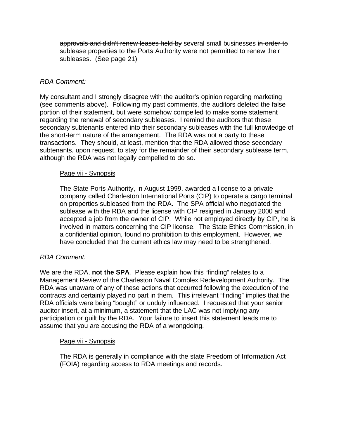approvals and didn't renew leases held by several small businesses in order to sublease properties to the Ports Authority were not permitted to renew their subleases. (See page 21)

#### *RDA Comment:*

My consultant and I strongly disagree with the auditor's opinion regarding marketing (see comments above). Following my past comments, the auditors deleted the false portion of their statement, but were somehow compelled to make some statement regarding the renewal of secondary subleases. I remind the auditors that these secondary subtenants entered into their secondary subleases with the full knowledge of the short-term nature of the arrangement. The RDA was not a party to these transactions. They should, at least, mention that the RDA allowed those secondary subtenants, upon request, to stay for the remainder of their secondary sublease term, although the RDA was not legally compelled to do so.

#### Page vii - Synopsis

The State Ports Authority, in August 1999, awarded a license to a private company called Charleston International Ports (CIP) to operate a cargo terminal on properties subleased from the RDA. The SPA official who negotiated the sublease with the RDA and the license with CIP resigned in January 2000 and accepted a job from the owner of CIP. While not employed directly by CIP, he is involved in matters concerning the CIP license. The State Ethics Commission, in a confidential opinion, found no prohibition to this employment. However, we have concluded that the current ethics law may need to be strengthened.

#### *RDA Comment:*

We are the RDA, **not the SPA**. Please explain how this "finding" relates to a Management Review of the Charleston Naval Complex Redevelopment Authority. The RDA was unaware of any of these actions that occurred following the execution of the contracts and certainly played no part in them. This irrelevant "finding" implies that the RDA officials were being "bought" or unduly influenced. I requested that your senior auditor insert, at a minimum, a statement that the LAC was not implying any participation or guilt by the RDA. Your failure to insert this statement leads me to assume that you are accusing the RDA of a wrongdoing.

#### Page vii - Synopsis

The RDA is generally in compliance with the state Freedom of Information Act (FOIA) regarding access to RDA meetings and records.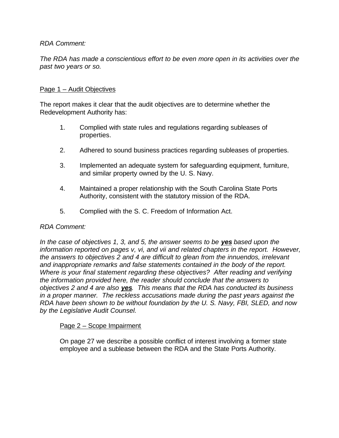*The RDA has made a conscientious effort to be even more open in its activities over the past two years or so.* 

#### Page 1 – Audit Objectives

The report makes it clear that the audit objectives are to determine whether the Redevelopment Authority has:

- 1. Complied with state rules and regulations regarding subleases of properties.
- 2. Adhered to sound business practices regarding subleases of properties.
- 3. Implemented an adequate system for safeguarding equipment, furniture, and similar property owned by the U. S. Navy.
- 4. Maintained a proper relationship with the South Carolina State Ports Authority, consistent with the statutory mission of the RDA.
- 5. Complied with the S. C. Freedom of Information Act.

#### *RDA Comment:*

*In the case of objectives 1, 3, and 5, the answer seems to be yes based upon the information reported on pages v, vi, and vii and related chapters in the report. However, the answers to objectives 2 and 4 are difficult to glean from the innuendos, irrelevant and inappropriate remarks and false statements contained in the body of the report. Where is your final statement regarding these objectives? After reading and verifying the information provided here, the reader should conclude that the answers to objectives 2 and 4 are also yes. This means that the RDA has conducted its business in a proper manner. The reckless accusations made during the past years against the RDA have been shown to be without foundation by the U. S. Navy, FBI, SLED, and now by the Legislative Audit Counsel.* 

#### Page 2 – Scope Impairment

On page 27 we describe a possible conflict of interest involving a former state employee and a sublease between the RDA and the State Ports Authority.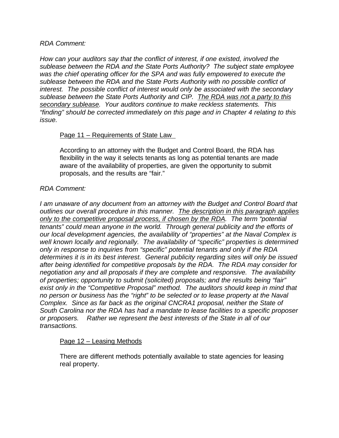*How can your auditors say that the conflict of interest, if one existed, involved the sublease between the RDA and the State Ports Authority? The subject state employee was the chief operating officer for the SPA and was fully empowered to execute the sublease between the RDA and the State Ports Authority with no possible conflict of interest. The possible conflict of interest would only be associated with the secondary sublease between the State Ports Authority and CIP. The RDA was not a party to this secondary sublease. Your auditors continue to make reckless statements. This "finding" should be corrected immediately on this page and in Chapter 4 relating to this issue.* 

#### Page 11 – Requirements of State Law

According to an attorney with the Budget and Control Board, the RDA has flexibility in the way it selects tenants as long as potential tenants are made aware of the availability of properties, are given the opportunity to submit proposals, and the results are "fair."

#### *RDA Comment:*

*I am unaware of any document from an attorney with the Budget and Control Board that outlines our overall procedure in this manner. The description in this paragraph applies only to the competitive proposal process, if chosen by the RDA. The term "potential tenants" could mean anyone in the world. Through general publicity and the efforts of our local development agencies, the availability of "properties" at the Naval Complex is well known locally and regionally. The availability of "specific" properties is determined only in response to inquiries from "specific" potential tenants and only if the RDA determines it is in its best interest. General publicity regarding sites will only be issued after being identified for competitive proposals by the RDA. The RDA may consider for negotiation any and all proposals if they are complete and responsive. The availability of properties; opportunity to submit (solicited) proposals; and the results being "fair" exist only in the "Competitive Proposal" method. The auditors should keep in mind that no person or business has the "right" to be selected or to lease property at the Naval Complex. Since as far back as the original CNCRA1 proposal, neither the State of South Carolina nor the RDA has had a mandate to lease facilities to a specific proposer or proposers. Rather we represent the best interests of the State in all of our transactions.* 

#### Page 12 – Leasing Methods

There are different methods potentially available to state agencies for leasing real property.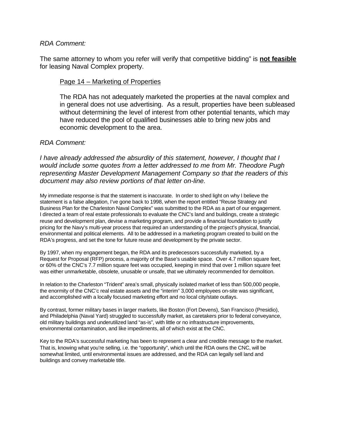The same attorney to whom you refer will verify that competitive bidding" is **not feasible** for leasing Naval Complex property.

#### Page 14 – Marketing of Properties

The RDA has not adequately marketed the properties at the naval complex and in general does not use advertising. As a result, properties have been subleased without determining the level of interest from other potential tenants, which may have reduced the pool of qualified businesses able to bring new jobs and economic development to the area.

#### *RDA Comment:*

*I have already addressed the absurdity of this statement, however, I thought that I would include some quotes from a letter addressed to me from Mr. Theodore Pugh representing Master Development Management Company so that the readers of this document may also review portions of that letter on-line.* 

My immediate response is that the statement is inaccurate. In order to shed light on why I believe the statement is a false allegation, I've gone back to 1998, when the report entitled "Reuse Strategy and Business Plan for the Charleston Naval Complex" was submitted to the RDA as a part of our engagement. I directed a team of real estate professionals to evaluate the CNC's land and buildings, create a strategic reuse and development plan, devise a marketing program, and provide a financial foundation to justify pricing for the Navy's multi-year process that required an understanding of the project's physical, financial, environmental and political elements. All to be addressed in a marketing program created to build on the RDA's progress, and set the tone for future reuse and development by the private sector.

By 1997, when my engagement began, the RDA and its predecessors successfully marketed, by a Request for Proposal (RFP) process, a majority of the Base's usable space. Over 4.7 million square feet, or 60% of the CNC's 7.7 million square feet was occupied, keeping in mind that over 1 million square feet was either unmarketable, obsolete, unusable or unsafe, that we ultimately recommended for demolition.

In relation to the Charleston "Trident" area's small, physically isolated market of less than 500,000 people, the enormity of the CNC'c real estate assets and the "interim" 3,000 employees on-site was significant, and accomplished with a locally focused marketing effort and no local city/state outlays.

By contrast, former military bases in larger markets, like Boston (Fort Devens), San Francisco (Presidio), and Philadelphia (Naval Yard) struggled to successfully market, as caretakers prior to federal conveyance, old military buildings and underutilized land "as-is", with little or no infrastructure improvements, environmental contamination, and like impediments, all of which exist at the CNC.

Key to the RDA's successful marketing has been to represent a clear and credible message to the market. That is, knowing what you're selling, i.e. the "opportunity", which until the RDA owns the CNC, will be somewhat limited, until environmental issues are addressed, and the RDA can legally sell land and buildings and convey marketable title.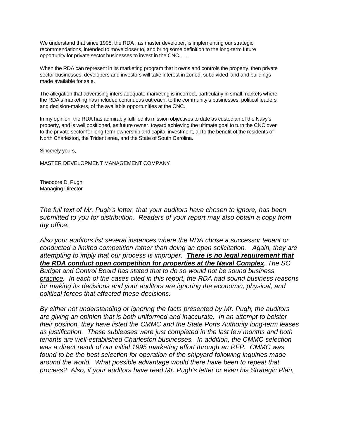We understand that since 1998, the RDA , as master developer, is implementing our strategic recommendations, intended to move closer to, and bring some definition to the long-term future opportunity for private sector businesses to invest in the CNC. . . .

When the RDA can represent in its marketing program that it owns and controls the property, then private sector businesses, developers and investors will take interest in zoned, subdivided land and buildings made available for sale.

The allegation that advertising infers adequate marketing is incorrect, particularly in small markets where the RDA's marketing has included continuous outreach, to the community's businesses, political leaders and decision-makers, of the available opportunities at the CNC.

In my opinion, the RDA has admirably fulfilled its mission objectives to date as custodian of the Navy's property, and is well positioned, as future owner, toward achieving the ultimate goal to turn the CNC over to the private sector for long-term ownership and capital investment, all to the benefit of the residents of North Charleston, the Trident area, and the State of South Carolina.

Sincerely yours,

MASTER DEVELOPMENT MANAGEMENT COMPANY

Theodore D. Pugh Managing Director

*The full text of Mr. Pugh's letter, that your auditors have chosen to ignore, has been submitted to you for distribution. Readers of your report may also obtain a copy from my office.* 

*Also your auditors list several instances where the RDA chose a successor tenant or conducted a limited competition rather than doing an open solicitation. Again, they are attempting to imply that our process is improper. There is no legal requirement that the RDA conduct open competition for properties at the Naval Complex. The SC Budget and Control Board has stated that to do so would not be sound business practice. In each of the cases cited in this report, the RDA had sound business reasons for making its decisions and your auditors are ignoring the economic, physical, and political forces that affected these decisions.* 

*By either not understanding or ignoring the facts presented by Mr. Pugh, the auditors are giving an opinion that is both uniformed and inaccurate. In an attempt to bolster their position, they have listed the CMMC and the State Ports Authority long-term leases as justification. These subleases were just completed in the last few months and both tenants are well-established Charleston businesses. In addition, the CMMC selection was a direct result of our initial 1995 marketing effort through an RFP. CMMC was found to be the best selection for operation of the shipyard following inquiries made around the world. What possible advantage would there have been to repeat that process? Also, if your auditors have read Mr. Pugh's letter or even his Strategic Plan,*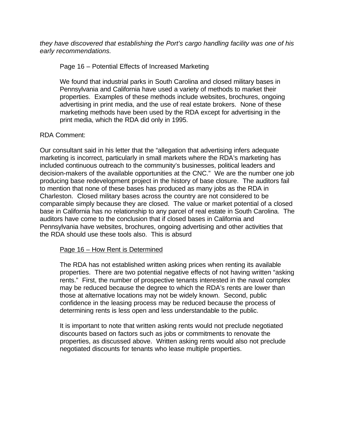*they have discovered that establishing the Port's cargo handling facility was one of his early recommendations.* 

Page 16 – Potential Effects of Increased Marketing

We found that industrial parks in South Carolina and closed military bases in Pennsylvania and California have used a variety of methods to market their properties. Examples of these methods include websites, brochures, ongoing advertising in print media, and the use of real estate brokers. None of these marketing methods have been used by the RDA except for advertising in the print media, which the RDA did only in 1995.

#### RDA Comment:

Our consultant said in his letter that the "allegation that advertising infers adequate marketing is incorrect, particularly in small markets where the RDA's marketing has included continuous outreach to the community's businesses, political leaders and decision-makers of the available opportunities at the CNC." We are the number one job producing base redevelopment project in the history of base closure. The auditors fail to mention that none of these bases has produced as many jobs as the RDA in Charleston. Closed military bases across the country are not considered to be comparable simply because they are closed. The value or market potential of a closed base in California has no relationship to any parcel of real estate in South Carolina. The auditors have come to the conclusion that if closed bases in California and Pennsylvania have websites, brochures, ongoing advertising and other activities that the RDA should use these tools also. This is absurd

#### Page 16 – How Rent is Determined

The RDA has not established written asking prices when renting its available properties. There are two potential negative effects of not having written "asking rents." First, the number of prospective tenants interested in the naval complex may be reduced because the degree to which the RDA's rents are lower than those at alternative locations may not be widely known. Second, public confidence in the leasing process may be reduced because the process of determining rents is less open and less understandable to the public.

It is important to note that written asking rents would not preclude negotiated discounts based on factors such as jobs or commitments to renovate the properties, as discussed above. Written asking rents would also not preclude negotiated discounts for tenants who lease multiple properties.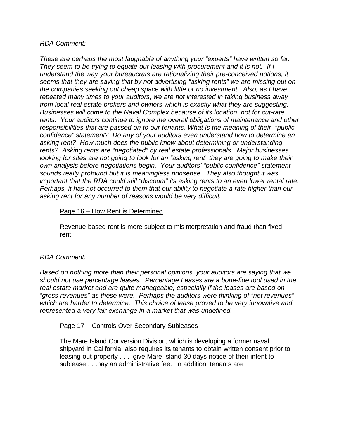*These are perhaps the most laughable of anything your "experts" have written so far. They seem to be trying to equate our leasing with procurement and it is not. If I understand the way your bureaucrats are rationalizing their pre-conceived notions, it seems that they are saying that by not advertising "asking rents" we are missing out on the companies seeking out cheap space with little or no investment. Also, as I have repeated many times to your auditors, we are not interested in taking business away from local real estate brokers and owners which is exactly what they are suggesting. Businesses will come to the Naval Complex because of its location, not for cut-rate rents. Your auditors continue to ignore the overall obligations of maintenance and other responsibilities that are passed on to our tenants. What is the meaning of their "public confidence" statement? Do any of your auditors even understand how to determine an asking rent? How much does the public know about determining or understanding rents? Asking rents are "negotiated" by real estate professionals. Major businesses looking for sites are not going to look for an "asking rent" they are going to make their own analysis before negotiations begin. Your auditors' "public confidence" statement sounds really profound but it is meaningless nonsense. They also thought it was important that the RDA could still "discount" its asking rents to an even lower rental rate. Perhaps, it has not occurred to them that our ability to negotiate a rate higher than our asking rent for any number of reasons would be very difficult.* 

#### Page 16 – How Rent is Determined

Revenue-based rent is more subject to misinterpretation and fraud than fixed rent.

### *RDA Comment:*

*Based on nothing more than their personal opinions, your auditors are saying that we should not use percentage leases. Percentage Leases are a bone-fide tool used in the real estate market and are quite manageable, especially if the leases are based on "gross revenues" as these were. Perhaps the auditors were thinking of "net revenues" which are harder to determine. This choice of lease proved to be very innovative and represented a very fair exchange in a market that was undefined.* 

#### Page 17 – Controls Over Secondary Subleases

The Mare Island Conversion Division, which is developing a former naval shipyard in California, also requires its tenants to obtain written consent prior to leasing out property . . . .give Mare Island 30 days notice of their intent to sublease . . .pay an administrative fee. In addition, tenants are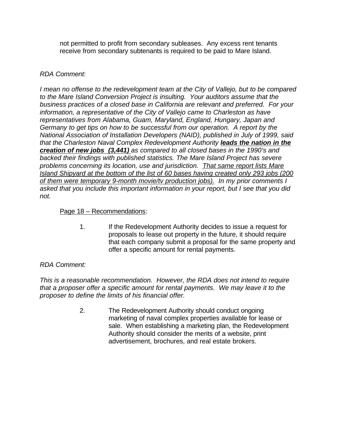not permitted to profit from secondary subleases. Any excess rent tenants receive from secondary subtenants is required to be paid to Mare Island.

### *RDA Comment:*

*I mean no offense to the redevelopment team at the City of Vallejo, but to be compared to the Mare Island Conversion Project is insulting. Your auditors assume that the business practices of a closed base in California are relevant and preferred. For your information, a representative of the City of Vallejo came to Charleston as have representatives from Alabama, Guam, Maryland, England, Hungary, Japan and Germany to get tips on how to be successful from our operation. A report by the National Association of Installation Developers (NAID), published in July of 1999, said that the Charleston Naval Complex Redevelopment Authority leads the nation in the creation of new jobs (3,441) as compared to all closed bases in the 1990's and backed their findings with published statistics. The Mare Island Project has severe problems concerning its location, use and jurisdiction. That same report lists Mare Island Shipyard at the bottom of the list of 60 bases having created only 293 jobs (200 of them were temporary 9-month movie/tv production jobs). In my prior comments I asked that you include this important information in your report, but I see that you did not.* 

#### Page 18 – Recommendations:

1. If the Redevelopment Authority decides to issue a request for proposals to lease out property in the future, it should require that each company submit a proposal for the same property and offer a specific amount for rental payments.

### *RDA Comment:*

*This is a reasonable recommendation. However, the RDA does not intend to require that a proposer offer a specific amount for rental payments. We may leave it to the proposer to define the limits of his financial offer.*

> 2. The Redevelopment Authority should conduct ongoing marketing of naval complex properties available for lease or sale. When establishing a marketing plan, the Redevelopment Authority should consider the merits of a website, print advertisement, brochures, and real estate brokers.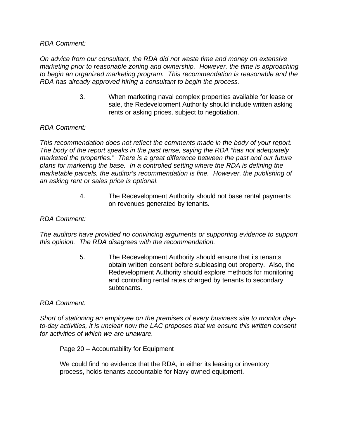*On advice from our consultant, the RDA did not waste time and money on extensive marketing prior to reasonable zoning and ownership. However, the time is approaching to begin an organized marketing program. This recommendation is reasonable and the RDA has already approved hiring a consultant to begin the process.*

> 3. When marketing naval complex properties available for lease or sale, the Redevelopment Authority should include written asking rents or asking prices, subject to negotiation.

#### *RDA Comment:*

*This recommendation does not reflect the comments made in the body of your report. The body of the report speaks in the past tense, saying the RDA "has not adequately marketed the properties." There is a great difference between the past and our future plans for marketing the base. In a controlled setting where the RDA is defining the marketable parcels, the auditor's recommendation is fine. However, the publishing of an asking rent or sales price is optional.* 

> 4. The Redevelopment Authority should not base rental payments on revenues generated by tenants.

#### *RDA Comment:*

*The auditors have provided no convincing arguments or supporting evidence to support this opinion. The RDA disagrees with the recommendation.*

> 5. The Redevelopment Authority should ensure that its tenants obtain written consent before subleasing out property. Also, the Redevelopment Authority should explore methods for monitoring and controlling rental rates charged by tenants to secondary subtenants.

#### *RDA Comment:*

*Short of stationing an employee on the premises of every business site to monitor dayto-day activities, it is unclear how the LAC proposes that we ensure this written consent for activities of which we are unaware.* 

#### Page 20 – Accountability for Equipment

We could find no evidence that the RDA, in either its leasing or inventory process, holds tenants accountable for Navy-owned equipment.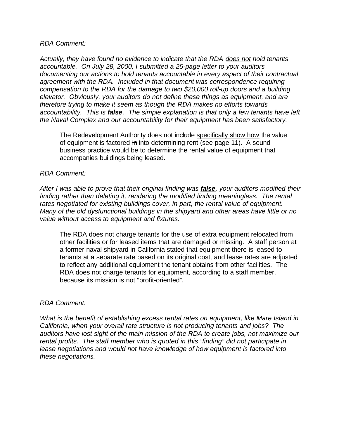*Actually, they have found no evidence to indicate that the RDA does not hold tenants accountable. On July 28, 2000, I submitted a 25-page letter to your auditors documenting our actions to hold tenants accountable in every aspect of their contractual agreement with the RDA. Included in that document was correspondence requiring compensation to the RDA for the damage to two \$20,000 roll-up doors and a building elevator. Obviously, your auditors do not define these things as equipment, and are therefore trying to make it seem as though the RDA makes no efforts towards accountability. This is false. The simple explanation is that only a few tenants have left the Naval Complex and our accountability for their equipment has been satisfactory.* 

The Redevelopment Authority does not include specifically show how the value of equipment is factored in into determining rent (see page 11). A sound business practice would be to determine the rental value of equipment that accompanies buildings being leased.

#### *RDA Comment:*

*After I was able to prove that their original finding was false, your auditors modified their finding rather than deleting it, rendering the modified finding meaningless. The rental rates negotiated for existing buildings cover, in part, the rental value of equipment. Many of the old dysfunctional buildings in the shipyard and other areas have little or no value without access to equipment and fixtures.*

The RDA does not charge tenants for the use of extra equipment relocated from other facilities or for leased items that are damaged or missing. A staff person at a former naval shipyard in California stated that equipment there is leased to tenants at a separate rate based on its original cost, and lease rates are adjusted to reflect any additional equipment the tenant obtains from other facilities. The RDA does not charge tenants for equipment, according to a staff member, because its mission is not "profit-oriented".

#### *RDA Comment:*

*What is the benefit of establishing excess rental rates on equipment, like Mare Island in California, when your overall rate structure is not producing tenants and jobs? The auditors have lost sight of the main mission of the RDA to create jobs, not maximize our rental profits. The staff member who is quoted in this "finding" did not participate in lease negotiations and would not have knowledge of how equipment is factored into these negotiations.*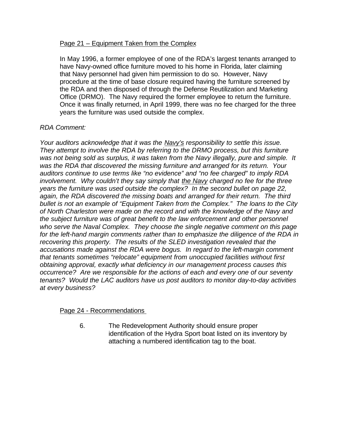#### Page 21 – Equipment Taken from the Complex

In May 1996, a former employee of one of the RDA's largest tenants arranged to have Navy-owned office furniture moved to his home in Florida, later claiming that Navy personnel had given him permission to do so. However, Navy procedure at the time of base closure required having the furniture screened by the RDA and then disposed of through the Defense Reutilization and Marketing Office (DRMO). The Navy required the former employee to return the furniture. Once it was finally returned, in April 1999, there was no fee charged for the three years the furniture was used outside the complex.

### *RDA Comment:*

*Your auditors acknowledge that it was the Navy's responsibility to settle this issue. They attempt to involve the RDA by referring to the DRMO process, but this furniture was not being sold as surplus, it was taken from the Navy illegally, pure and simple. It was the RDA that discovered the missing furniture and arranged for its return. Your auditors continue to use terms like "no evidence" and "no fee charged" to imply RDA involvement. Why couldn't they say simply that the Navy charged no fee for the three years the furniture was used outside the complex? In the second bullet on page 22, again, the RDA discovered the missing boats and arranged for their return. The third bullet is not an example of "Equipment Taken from the Complex." The loans to the City of North Charleston were made on the record and with the knowledge of the Navy and the subject furniture was of great benefit to the law enforcement and other personnel who serve the Naval Complex. They choose the single negative comment on this page for the left-hand margin comments rather than to emphasize the diligence of the RDA in recovering this property. The results of the SLED investigation revealed that the accusations made against the RDA were bogus. In regard to the left-margin comment that tenants sometimes "relocate" equipment from unoccupied facilities without first obtaining approval, exactly what deficiency in our management process causes this occurrence? Are we responsible for the actions of each and every one of our seventy tenants? Would the LAC auditors have us post auditors to monitor day-to-day activities at every business?* 

#### Page 24 - Recommendations

6. The Redevelopment Authority should ensure proper identification of the Hydra Sport boat listed on its inventory by attaching a numbered identification tag to the boat.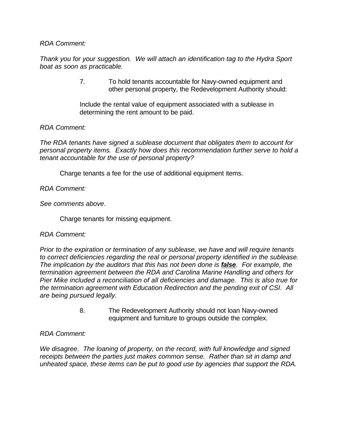*Thank you for your suggestion. We will attach an identification tag to the Hydra Sport boat as soon as practicable.* 

> 7. To hold tenants accountable for Navy-owned equipment and other personal property, the Redevelopment Authority should:

Include the rental value of equipment associated with a sublease in determining the rent amount to be paid.

#### *RDA Comment:*

*The RDA tenants have signed a sublease document that obligates them to account for personal property items. Exactly how does this recommendation further serve to hold a tenant accountable for the use of personal property?* 

Charge tenants a fee for the use of additional equipment items.

*RDA Comment:*

*See comments above*.

Charge tenants for missing equipment.

#### *RDA Comment:*

*Prior to the expiration or termination of any sublease, we have and will require tenants to correct deficiencies regarding the real or personal property identified in the sublease. The implication by the auditors that this has not been done is false. For example, the termination agreement between the RDA and Carolina Marine Handling and others for Pier Mike included a reconciliation of all deficiencies and damage. This is also true for the termination agreement with Education Redirection and the pending exit of CSI. All are being pursued legally.*

> 8. The Redevelopment Authority should not loan Navy-owned equipment and furniture to groups outside the complex.

#### *RDA Comment:*

*We disagree. The loaning of property, on the record, with full knowledge and signed receipts between the parties just makes common sense. Rather than sit in damp and unheated space, these items can be put to good use by agencies that support the RDA.*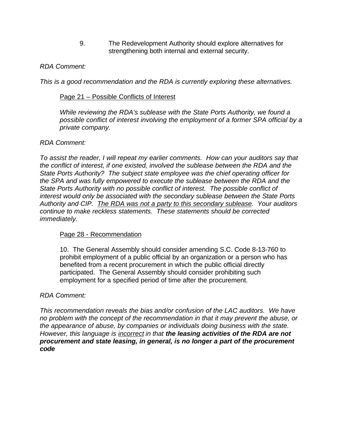9. The Redevelopment Authority should explore alternatives for strengthening both internal and external security.

#### *RDA Comment:*

*This is a good recommendation and the RDA is currently exploring these alternatives.* 

#### Page 21 – Possible Conflicts of Interest

*While reviewing the RDA's sublease with the State Ports Authority, we found a possible conflict of interest involving the employment of a former SPA official by a private company.*

#### *RDA Comment:*

*To assist the reader, I will repeat my earlier comments. How can your auditors say that the conflict of interest, if one existed, involved the sublease between the RDA and the State Ports Authority? The subject state employee was the chief operating officer for the SPA and was fully empowered to execute the sublease between the RDA and the State Ports Authority with no possible conflict of interest. The possible conflict of interest would only be associated with the secondary sublease between the State Ports Authority and CIP. The RDA was not a party to this secondary sublease. Your auditors continue to make reckless statements. These statements should be corrected immediately.* 

#### Page 28 - Recommendation

10. The General Assembly should consider amending S.C. Code 8-13-760 to prohibit employment of a public official by an organization or a person who has benefited from a recent procurement in which the public official directly participated. The General Assembly should consider prohibiting such employment for a specified period of time after the procurement.

#### *RDA Comment:*

*This recommendation reveals the bias and/or confusion of the LAC auditors. We have no problem with the concept of the recommendation in that it may prevent the abuse, or the appearance of abuse, by companies or individuals doing business with the state. However, this language is incorrect in that the leasing activities of the RDA are not procurement and state leasing, in general, is no longer a part of the procurement code*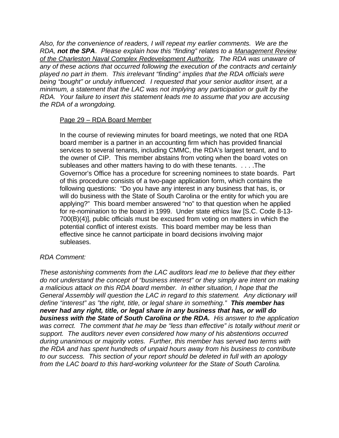*Also, for the convenience of readers, I will repeat my earlier comments. We are the RDA, not the SPA. Please explain how this "finding" relates to a Management Review of the Charleston Naval Complex Redevelopment Authority. The RDA was unaware of any of these actions that occurred following the execution of the contracts and certainly played no part in them. This irrelevant "finding" implies that the RDA officials were being "bought" or unduly influenced. I requested that your senior auditor insert, at a minimum, a statement that the LAC was not implying any participation or guilt by the RDA. Your failure to insert this statement leads me to assume that you are accusing the RDA of a wrongdoing.* 

#### Page 29 - RDA Board Member

In the course of reviewing minutes for board meetings, we noted that one RDA board member is a partner in an accounting firm which has provided financial services to several tenants, including CMMC, the RDA's largest tenant, and to the owner of CIP. This member abstains from voting when the board votes on subleases and other matters having to do with these tenants. . . . .The Governor's Office has a procedure for screening nominees to state boards. Part of this procedure consists of a two-page application form, which contains the following questions: "Do you have any interest in any business that has, is, or will do business with the State of South Carolina or the entity for which you are applying?" This board member answered "no" to that question when he applied for re-nomination to the board in 1999. Under state ethics law [S.C. Code 8-13- 700(B)(4)], public officials must be excused from voting on matters in which the potential conflict of interest exists. This board member may be less than effective since he cannot participate in board decisions involving major subleases.

#### *RDA Comment:*

*These astonishing comments from the LAC auditors lead me to believe that they either do not understand the concept of "business interest" or they simply are intent on making a malicious attack on this RDA board member. In either situation, I hope that the General Assembly will question the LAC in regard to this statement. Any dictionary will define "interest" as "the right, title, or legal share in something." This member has never had any right, title, or legal share in any business that has, or will do business with the State of South Carolina or the RDA. His answer to the application was correct. The comment that he may be "less than effective" is totally without merit or support. The auditors never even considered how many of his abstentions occurred during unanimous or majority votes. Further, this member has served two terms with the RDA and has spent hundreds of unpaid hours away from his business to contribute to our success. This section of your report should be deleted in full with an apology from the LAC board to this hard-working volunteer for the State of South Carolina.*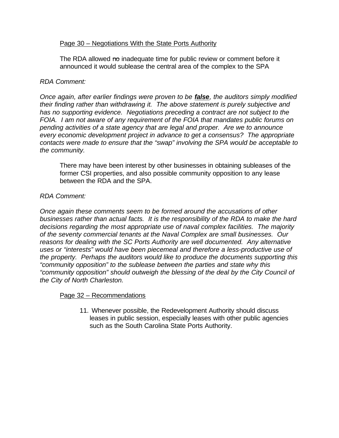#### Page 30 – Negotiations With the State Ports Authority

The RDA allowed no inadequate time for public review or comment before it announced it would sublease the central area of the complex to the SPA

#### *RDA Comment:*

*Once again, after earlier findings were proven to be false, the auditors simply modified their finding rather than withdrawing it. The above statement is purely subjective and has no supporting evidence. Negotiations preceding a contract are not subject to the FOIA. I am not aware of any requirement of the FOIA that mandates public forums on pending activities of a state agency that are legal and proper. Are we to announce every economic development project in advance to get a consensus? The appropriate contacts were made to ensure that the "swap" involving the SPA would be acceptable to the community.* 

There may have been interest by other businesses in obtaining subleases of the former CSI properties, and also possible community opposition to any lease between the RDA and the SPA.

#### *RDA Comment:*

*Once again these comments seem to be formed around the accusations of other businesses rather than actual facts. It is the responsibility of the RDA to make the hard decisions regarding the most appropriate use of naval complex facilities. The majority of the seventy commercial tenants at the Naval Complex are small businesses. Our reasons for dealing with the SC Ports Authority are well documented. Any alternative uses or "interests" would have been piecemeal and therefore a less-productive use of the property. Perhaps the auditors would like to produce the documents supporting this "community opposition" to the sublease between the parties and state why this "community opposition" should outweigh the blessing of the deal by the City Council of the City of North Charleston.* 

#### Page 32 – Recommendations

11. Whenever possible, the Redevelopment Authority should discuss leases in public session, especially leases with other public agencies such as the South Carolina State Ports Authority.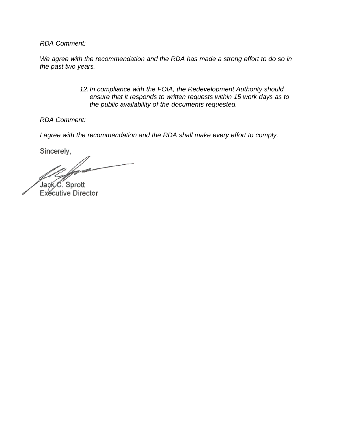*We agree with the recommendation and the RDA has made a strong effort to do so in the past two years.*

> *12.In compliance with the FOIA, the Redevelopment Authority should ensure that it responds to written requests within 15 work days as to the public availability of the documents requested.*

*RDA Comment:*

*I agree with the recommendation and the RDA shall make every effort to comply.*

Sincerely,

Jack C. Sprott Exécutive Director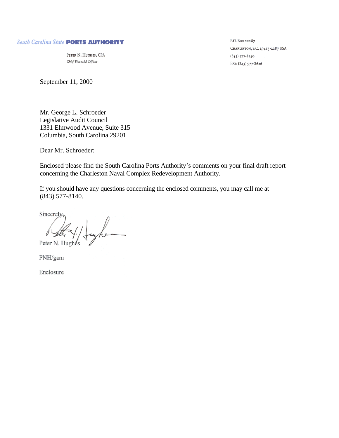#### South Carolina State PORTS AUTHORITY

PETER N. HUGHES, CPA Chief Financial Officer

September 11, 2000

Mr. George L. Schroeder Legislative Audit Council 1331 Elmwood Avenue, Suite 315 Columbia, South Carolina 29201

Dear Mr. Schroeder:

Enclosed please find the South Carolina Ports Authority's comments on your final draft report concerning the Charleston Naval Complex Redevelopment Authority.

If you should have any questions concerning the enclosed comments, you may call me at (843) 577-8140.

Sincerely-

Peter N. Hughes

PNH/gam

Enclosure

P.O. Box 22287 CHARLESTON, S.C. 29413-2287 USA  $(843)$  577-8140 FAx: (843) 577-8626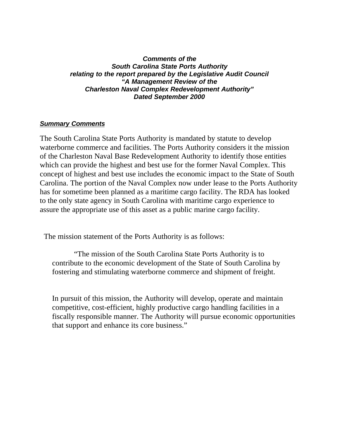#### *Comments of the South Carolina State Ports Authority relating to the report prepared by the Legislative Audit Council "A Management Review of the Charleston Naval Complex Redevelopment Authority" Dated September 2000*

### *Summary Comments*

The South Carolina State Ports Authority is mandated by statute to develop waterborne commerce and facilities. The Ports Authority considers it the mission of the Charleston Naval Base Redevelopment Authority to identify those entities which can provide the highest and best use for the former Naval Complex. This concept of highest and best use includes the economic impact to the State of South Carolina. The portion of the Naval Complex now under lease to the Ports Authority has for sometime been planned as a maritime cargo facility. The RDA has looked to the only state agency in South Carolina with maritime cargo experience to assure the appropriate use of this asset as a public marine cargo facility.

The mission statement of the Ports Authority is as follows:

"The mission of the South Carolina State Ports Authority is to contribute to the economic development of the State of South Carolina by fostering and stimulating waterborne commerce and shipment of freight.

In pursuit of this mission, the Authority will develop, operate and maintain competitive, cost-efficient, highly productive cargo handling facilities in a fiscally responsible manner. The Authority will pursue economic opportunities that support and enhance its core business."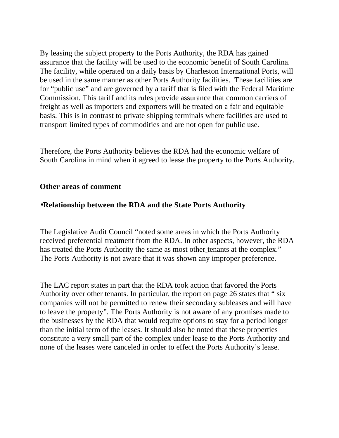By leasing the subject property to the Ports Authority, the RDA has gained assurance that the facility will be used to the economic benefit of South Carolina. The facility, while operated on a daily basis by Charleston International Ports, will be used in the same manner as other Ports Authority facilities. These facilities are for "public use" and are governed by a tariff that is filed with the Federal Maritime Commission. This tariff and its rules provide assurance that common carriers of freight as well as importers and exporters will be treated on a fair and equitable basis. This is in contrast to private shipping terminals where facilities are used to transport limited types of commodities and are not open for public use.

Therefore, the Ports Authority believes the RDA had the economic welfare of South Carolina in mind when it agreed to lease the property to the Ports Authority.

# **Other areas of comment**

# •**Relationship between the RDA and the State Ports Authority**

The Legislative Audit Council "noted some areas in which the Ports Authority received preferential treatment from the RDA. In other aspects, however, the RDA has treated the Ports Authority the same as most other tenants at the complex." The Ports Authority is not aware that it was shown any improper preference.

The LAC report states in part that the RDA took action that favored the Ports Authority over other tenants. In particular, the report on page 26 states that " six companies will not be permitted to renew their secondary subleases and will have to leave the property". The Ports Authority is not aware of any promises made to the businesses by the RDA that would require options to stay for a period longer than the initial term of the leases. It should also be noted that these properties constitute a very small part of the complex under lease to the Ports Authority and none of the leases were canceled in order to effect the Ports Authority's lease.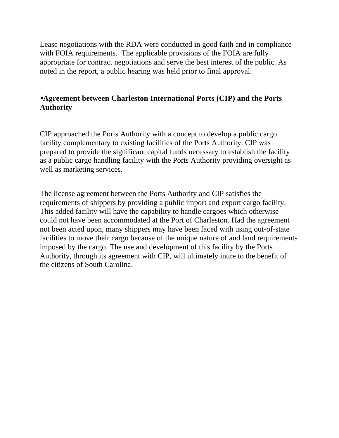Lease negotiations with the RDA were conducted in good faith and in compliance with FOIA requirements. The applicable provisions of the FOIA are fully appropriate for contract negotiations and serve the best interest of the public. As noted in the report, a public hearing was held prior to final approval.

# •**Agreement between Charleston International Ports (CIP) and the Ports Authority**

CIP approached the Ports Authority with a concept to develop a public cargo facility complementary to existing facilities of the Ports Authority. CIP was prepared to provide the significant capital funds necessary to establish the facility as a public cargo handling facility with the Ports Authority providing oversight as well as marketing services.

The license agreement between the Ports Authority and CIP satisfies the requirements of shippers by providing a public import and export cargo facility. This added facility will have the capability to handle cargoes which otherwise could not have been accommodated at the Port of Charleston. Had the agreement not been acted upon, many shippers may have been faced with using out-of-state facilities to move their cargo because of the unique nature of and land requirements imposed by the cargo. The use and development of this facility by the Ports Authority, through its agreement with CIP, will ultimately inure to the benefit of the citizens of South Carolina.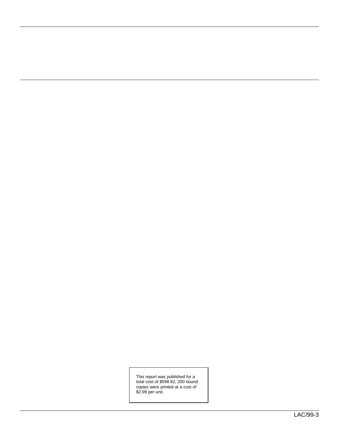This report was published for a total cost of \$598.92; 200 bound copies were printed at a cost of \$2.99 per unit.